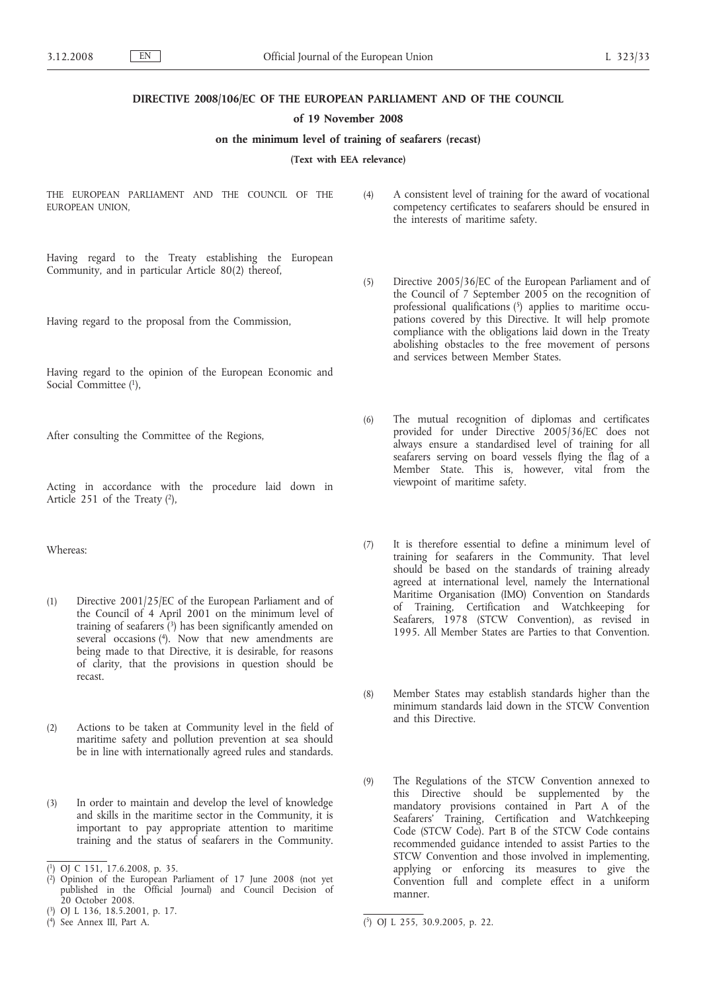## **DIRECTIVE 2008/106/EC OF THE EUROPEAN PARLIAMENT AND OF THE COUNCIL**

## **of 19 November 2008**

## **on the minimum level of training of seafarers (recast)**

**(Text with EEA relevance)**

THE EUROPEAN PARLIAMENT AND THE COUNCIL OF THE EUROPEAN UNION,

Having regard to the Treaty establishing the European Community, and in particular Article 80(2) thereof,

Having regard to the proposal from the Commission,

Having regard to the opinion of the European Economic and Social Committee (1),

After consulting the Committee of the Regions,

Acting in accordance with the procedure laid down in Article 251 of the Treaty  $(2)$ ,

Whereas:

- (1) Directive 2001/25/EC of the European Parliament and of the Council of 4 April 2001 on the minimum level of training of seafarers  $(3)$  has been significantly amended on several occasions (4). Now that new amendments are being made to that Directive, it is desirable, for reasons of clarity, that the provisions in question should be recast.
- (2) Actions to be taken at Community level in the field of maritime safety and pollution prevention at sea should be in line with internationally agreed rules and standards.
- (3) In order to maintain and develop the level of knowledge and skills in the maritime sector in the Community, it is important to pay appropriate attention to maritime training and the status of seafarers in the Community.

( 2) Opinion of the European Parliament of 17 June 2008 (not yet published in the Official Journal) and Council Decision of 20 October 2008.

( 4) See Annex III, Part A. (

- (4) A consistent level of training for the award of vocational competency certificates to seafarers should be ensured in the interests of maritime safety.
- (5) Directive 2005/36/EC of the European Parliament and of the Council of 7 September 2005 on the recognition of professional qualifications (5) applies to maritime occupations covered by this Directive. It will help promote compliance with the obligations laid down in the Treaty abolishing obstacles to the free movement of persons and services between Member States.
- (6) The mutual recognition of diplomas and certificates provided for under Directive 2005/36/EC does not always ensure a standardised level of training for all seafarers serving on board vessels flying the flag of a Member State. This is, however, vital from the viewpoint of maritime safety.
- (7) It is therefore essential to define a minimum level of training for seafarers in the Community. That level should be based on the standards of training already agreed at international level, namely the International Maritime Organisation (IMO) Convention on Standards of Training, Certification and Watchkeeping for Seafarers, 1978 (STCW Convention), as revised in 1995. All Member States are Parties to that Convention.
- (8) Member States may establish standards higher than the minimum standards laid down in the STCW Convention and this Directive.
- (9) The Regulations of the STCW Convention annexed to this Directive should be supplemented by the mandatory provisions contained in Part A of the Seafarers' Training, Certification and Watchkeeping Code (STCW Code). Part B of the STCW Code contains recommended guidance intended to assist Parties to the STCW Convention and those involved in implementing, applying or enforcing its measures to give the Convention full and complete effect in a uniform manner.

<sup>(</sup> 1) OJ C 151, 17.6.2008, p. 35.

<sup>(</sup> 3) OJ L 136, 18.5.2001, p. 17.

 $\overline{(^5)}$  OJ L 255, 30.9.2005, p. 22.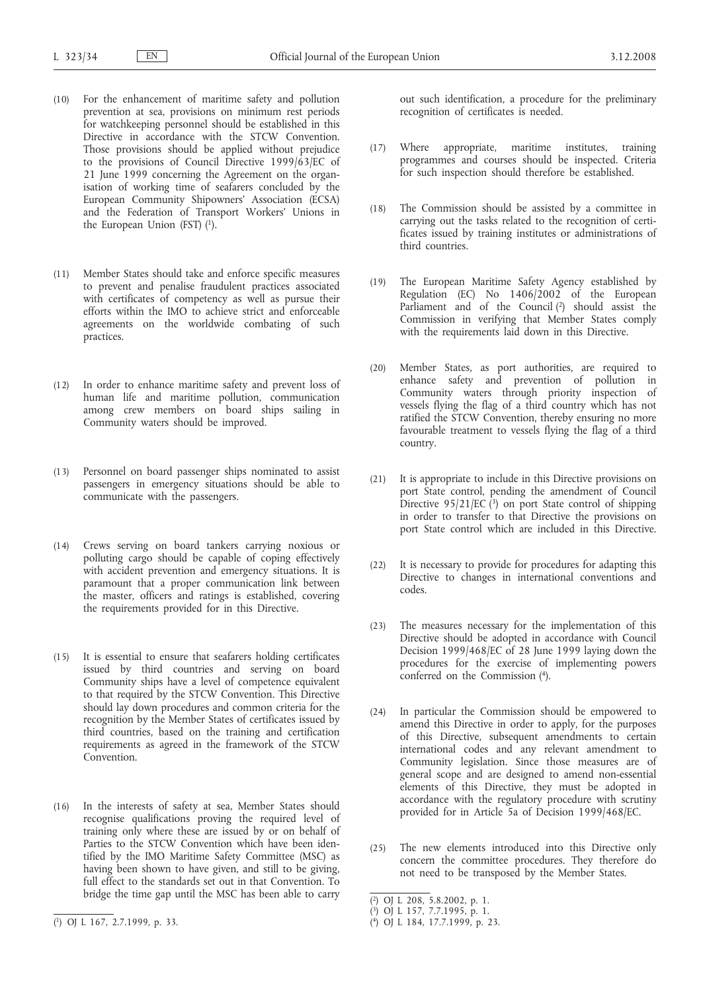- (10) For the enhancement of maritime safety and pollution prevention at sea, provisions on minimum rest periods for watchkeeping personnel should be established in this Directive in accordance with the STCW Convention. Those provisions should be applied without prejudice to the provisions of Council Directive 1999/63/EC of 21 June 1999 concerning the Agreement on the organisation of working time of seafarers concluded by the European Community Shipowners' Association (ECSA) and the Federation of Transport Workers' Unions in the European Union (FST) (1).
- (11) Member States should take and enforce specific measures to prevent and penalise fraudulent practices associated with certificates of competency as well as pursue their efforts within the IMO to achieve strict and enforceable agreements on the worldwide combating of such practices.
- (12) In order to enhance maritime safety and prevent loss of human life and maritime pollution, communication among crew members on board ships sailing in Community waters should be improved.
- (13) Personnel on board passenger ships nominated to assist passengers in emergency situations should be able to communicate with the passengers.
- (14) Crews serving on board tankers carrying noxious or polluting cargo should be capable of coping effectively with accident prevention and emergency situations. It is paramount that a proper communication link between the master, officers and ratings is established, covering the requirements provided for in this Directive.
- (15) It is essential to ensure that seafarers holding certificates issued by third countries and serving on board Community ships have a level of competence equivalent to that required by the STCW Convention. This Directive should lay down procedures and common criteria for the recognition by the Member States of certificates issued by third countries, based on the training and certification requirements as agreed in the framework of the STCW Convention.
- (16) In the interests of safety at sea, Member States should recognise qualifications proving the required level of training only where these are issued by or on behalf of Parties to the STCW Convention which have been identified by the IMO Maritime Safety Committee (MSC) as having been shown to have given, and still to be giving, full effect to the standards set out in that Convention. To bridge the time gap until the MSC has been able to carry

out such identification, a procedure for the preliminary recognition of certificates is needed.

- (17) Where appropriate, maritime institutes, training programmes and courses should be inspected. Criteria for such inspection should therefore be established.
- (18) The Commission should be assisted by a committee in carrying out the tasks related to the recognition of certificates issued by training institutes or administrations of third countries.
- (19) The European Maritime Safety Agency established by Regulation (EC) No 1406/2002 of the European Parliament and of the Council  $(2)$  should assist the Commission in verifying that Member States comply with the requirements laid down in this Directive.
- (20) Member States, as port authorities, are required to enhance safety and prevention of pollution in Community waters through priority inspection of vessels flying the flag of a third country which has not ratified the STCW Convention, thereby ensuring no more favourable treatment to vessels flying the flag of a third country.
- (21) It is appropriate to include in this Directive provisions on port State control, pending the amendment of Council Directive  $95/21/EC$  (3) on port State control of shipping in order to transfer to that Directive the provisions on port State control which are included in this Directive.
- (22) It is necessary to provide for procedures for adapting this Directive to changes in international conventions and codes.
- (23) The measures necessary for the implementation of this Directive should be adopted in accordance with Council Decision 1999/468/EC of 28 June 1999 laying down the procedures for the exercise of implementing powers conferred on the Commission (4).
- (24) In particular the Commission should be empowered to amend this Directive in order to apply, for the purposes of this Directive, subsequent amendments to certain international codes and any relevant amendment to Community legislation. Since those measures are of general scope and are designed to amend non-essential elements of this Directive, they must be adopted in accordance with the regulatory procedure with scrutiny provided for in Article 5a of Decision 1999/468/EC.
- (25) The new elements introduced into this Directive only concern the committee procedures. They therefore do not need to be transposed by the Member States.

<sup>(</sup> 1) OJ L 167, 2.7.1999, p. 33.

<sup>(</sup> 2) OJ L 208, 5.8.2002, p. 1.

<sup>(</sup> 3) OJ L 157, 7.7.1995, p. 1.

<sup>(</sup> 4) OJ L 184, 17.7.1999, p. 23.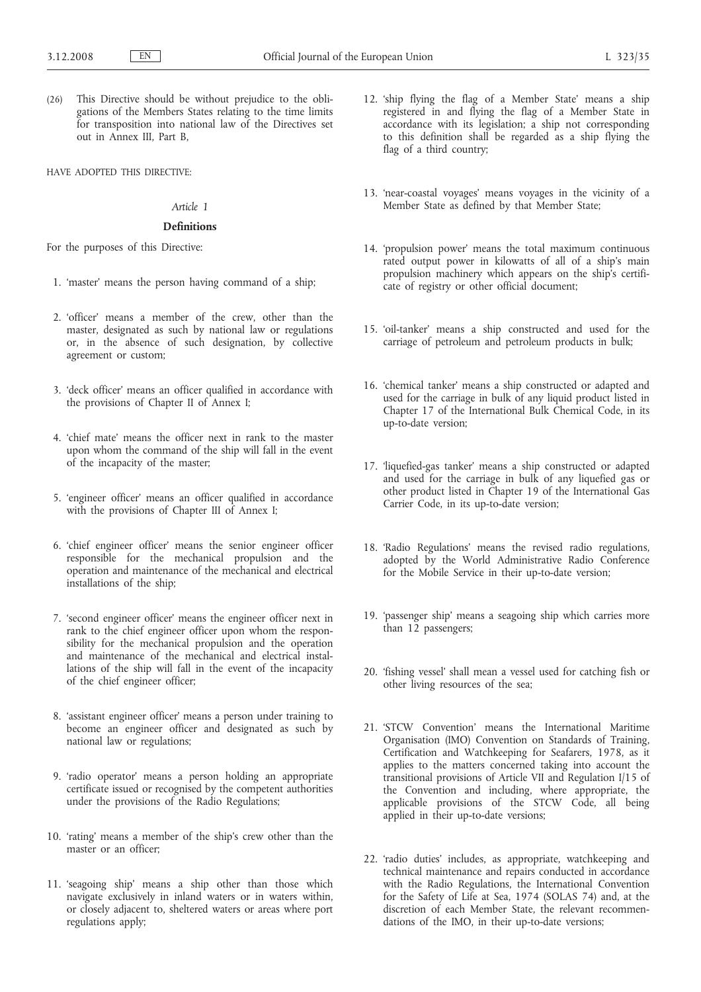(26) This Directive should be without prejudice to the obligations of the Members States relating to the time limits for transposition into national law of the Directives set out in Annex III, Part B,

HAVE ADOPTED THIS DIRECTIVE:

## *Article 1*

## **Definitions**

For the purposes of this Directive:

- 1. 'master' means the person having command of a ship;
- 2. 'officer' means a member of the crew, other than the master, designated as such by national law or regulations or, in the absence of such designation, by collective agreement or custom;
- 3. 'deck officer' means an officer qualified in accordance with the provisions of Chapter II of Annex I;
- 4. 'chief mate' means the officer next in rank to the master upon whom the command of the ship will fall in the event of the incapacity of the master;
- 5. 'engineer officer' means an officer qualified in accordance with the provisions of Chapter III of Annex I;
- 6. 'chief engineer officer' means the senior engineer officer responsible for the mechanical propulsion and the operation and maintenance of the mechanical and electrical installations of the ship;
- 7. 'second engineer officer' means the engineer officer next in rank to the chief engineer officer upon whom the responsibility for the mechanical propulsion and the operation and maintenance of the mechanical and electrical installations of the ship will fall in the event of the incapacity of the chief engineer officer;
- 8. 'assistant engineer officer' means a person under training to become an engineer officer and designated as such by national law or regulations;
- 9. 'radio operator' means a person holding an appropriate certificate issued or recognised by the competent authorities under the provisions of the Radio Regulations;
- 10. 'rating' means a member of the ship's crew other than the master or an officer;
- 11. 'seagoing ship' means a ship other than those which navigate exclusively in inland waters or in waters within, or closely adjacent to, sheltered waters or areas where port regulations apply;
- 12. 'ship flying the flag of a Member State' means a ship registered in and flying the flag of a Member State in accordance with its legislation; a ship not corresponding to this definition shall be regarded as a ship flying the flag of a third country;
- 13. 'near-coastal voyages' means voyages in the vicinity of a Member State as defined by that Member State;
- 14. 'propulsion power' means the total maximum continuous rated output power in kilowatts of all of a ship's main propulsion machinery which appears on the ship's certificate of registry or other official document;
- 15. 'oil-tanker' means a ship constructed and used for the carriage of petroleum and petroleum products in bulk;
- 16. 'chemical tanker' means a ship constructed or adapted and used for the carriage in bulk of any liquid product listed in Chapter 17 of the International Bulk Chemical Code, in its up-to-date version;
- 17. 'liquefied-gas tanker' means a ship constructed or adapted and used for the carriage in bulk of any liquefied gas or other product listed in Chapter 19 of the International Gas Carrier Code, in its up-to-date version;
- 18. 'Radio Regulations' means the revised radio regulations, adopted by the World Administrative Radio Conference for the Mobile Service in their up-to-date version;
- 19. 'passenger ship' means a seagoing ship which carries more than 12 passengers;
- 20. 'fishing vessel' shall mean a vessel used for catching fish or other living resources of the sea;
- 21. 'STCW Convention' means the International Maritime Organisation (IMO) Convention on Standards of Training, Certification and Watchkeeping for Seafarers, 1978, as it applies to the matters concerned taking into account the transitional provisions of Article VII and Regulation I/15 of the Convention and including, where appropriate, the applicable provisions of the STCW Code, all being applied in their up-to-date versions;
- 22. 'radio duties' includes, as appropriate, watchkeeping and technical maintenance and repairs conducted in accordance with the Radio Regulations, the International Convention for the Safety of Life at Sea, 1974 (SOLAS 74) and, at the discretion of each Member State, the relevant recommendations of the IMO, in their up-to-date versions;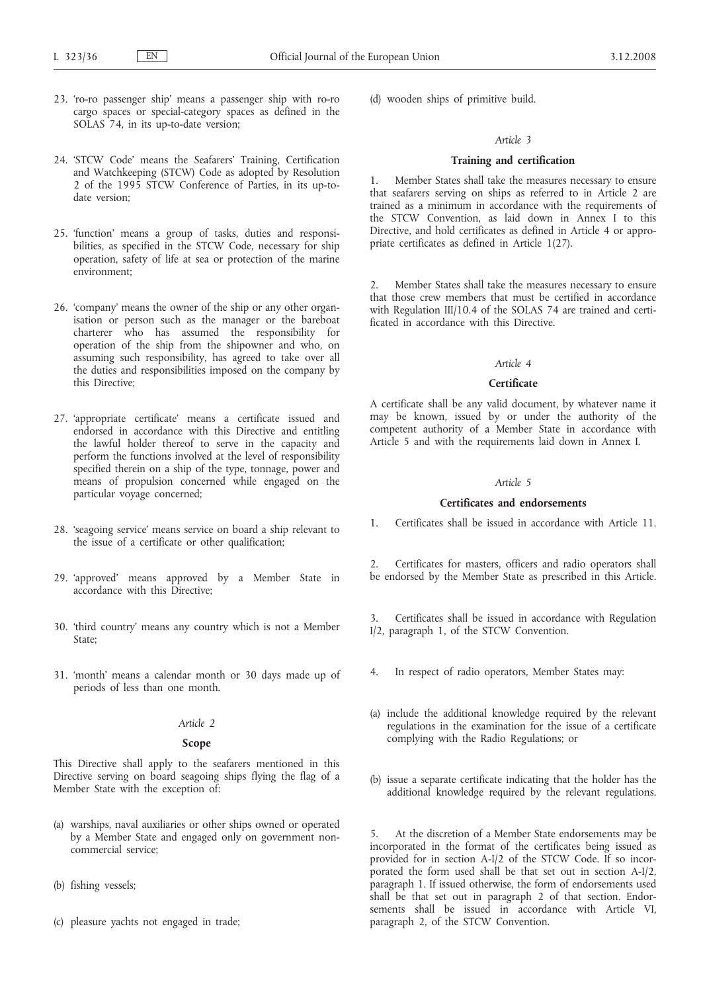- 23. 'ro-ro passenger ship' means a passenger ship with ro-ro cargo spaces or special-category spaces as defined in the SOLAS 74, in its up-to-date version;
- 24. 'STCW Code' means the Seafarers' Training, Certification and Watchkeeping (STCW) Code as adopted by Resolution 2 of the 1995 STCW Conference of Parties, in its up-todate version;
- 25. 'function' means a group of tasks, duties and responsibilities, as specified in the STCW Code, necessary for ship operation, safety of life at sea or protection of the marine environment;
- 26. 'company' means the owner of the ship or any other organisation or person such as the manager or the bareboat charterer who has assumed the responsibility for operation of the ship from the shipowner and who, on assuming such responsibility, has agreed to take over all the duties and responsibilities imposed on the company by this Directive;
- 27. 'appropriate certificate' means a certificate issued and endorsed in accordance with this Directive and entitling the lawful holder thereof to serve in the capacity and perform the functions involved at the level of responsibility specified therein on a ship of the type, tonnage, power and means of propulsion concerned while engaged on the particular voyage concerned;
- 28. 'seagoing service' means service on board a ship relevant to the issue of a certificate or other qualification;
- 29. 'approved' means approved by a Member State in accordance with this Directive;
- 30. 'third country' means any country which is not a Member State;
- 31. 'month' means a calendar month or 30 days made up of periods of less than one month.

## *Article 2*

## **Scope**

This Directive shall apply to the seafarers mentioned in this Directive serving on board seagoing ships flying the flag of a Member State with the exception of:

- (a) warships, naval auxiliaries or other ships owned or operated by a Member State and engaged only on government noncommercial service;
- (b) fishing vessels;
- (c) pleasure yachts not engaged in trade;

(d) wooden ships of primitive build.

## *Article 3*

## **Training and certification**

1. Member States shall take the measures necessary to ensure that seafarers serving on ships as referred to in Article 2 are trained as a minimum in accordance with the requirements of the STCW Convention, as laid down in Annex I to this Directive, and hold certificates as defined in Article 4 or appropriate certificates as defined in Article 1(27).

2. Member States shall take the measures necessary to ensure that those crew members that must be certified in accordance with Regulation III/10.4 of the SOLAS 74 are trained and certificated in accordance with this Directive.

### *Article 4*

### **Certificate**

A certificate shall be any valid document, by whatever name it may be known, issued by or under the authority of the competent authority of a Member State in accordance with Article 5 and with the requirements laid down in Annex I.

## *Article 5*

## **Certificates and endorsements**

1. Certificates shall be issued in accordance with Article 11.

2. Certificates for masters, officers and radio operators shall be endorsed by the Member State as prescribed in this Article.

Certificates shall be issued in accordance with Regulation I/2, paragraph 1, of the STCW Convention.

- 4. In respect of radio operators, Member States may:
- (a) include the additional knowledge required by the relevant regulations in the examination for the issue of a certificate complying with the Radio Regulations; or
- (b) issue a separate certificate indicating that the holder has the additional knowledge required by the relevant regulations.

5. At the discretion of a Member State endorsements may be incorporated in the format of the certificates being issued as provided for in section A-I/2 of the STCW Code. If so incorporated the form used shall be that set out in section A-I/2, paragraph 1. If issued otherwise, the form of endorsements used shall be that set out in paragraph 2 of that section. Endorsements shall be issued in accordance with Article VI, paragraph 2, of the STCW Convention.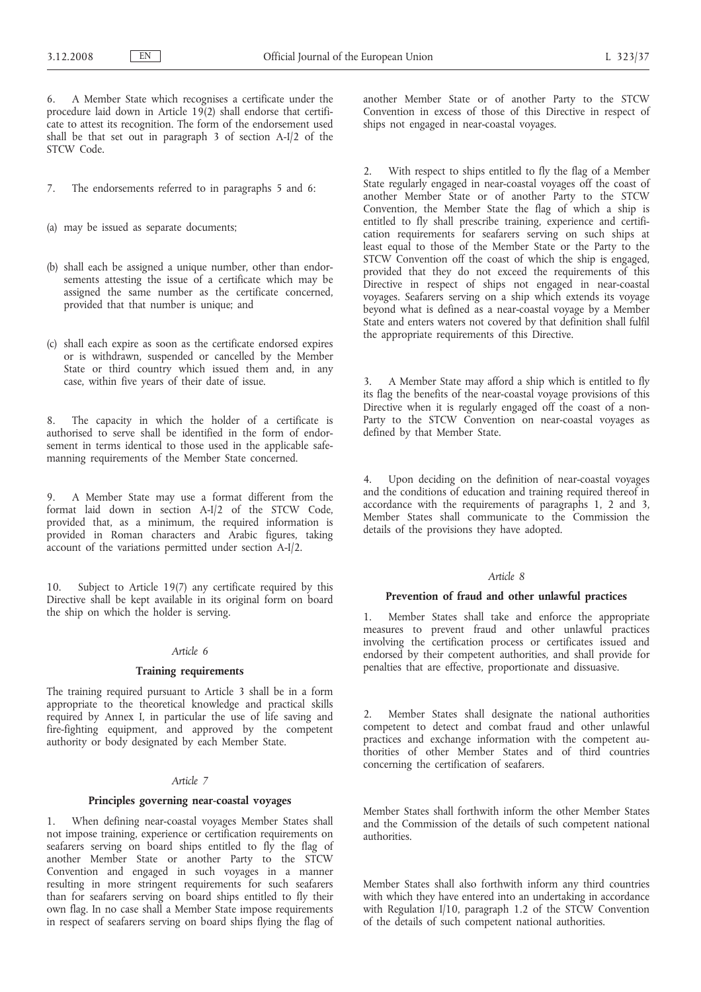6. A Member State which recognises a certificate under the procedure laid down in Article 19(2) shall endorse that certificate to attest its recognition. The form of the endorsement used shall be that set out in paragraph 3 of section A-I/2 of the STCW Code.

- 7. The endorsements referred to in paragraphs 5 and 6:
- (a) may be issued as separate documents;
- (b) shall each be assigned a unique number, other than endorsements attesting the issue of a certificate which may be assigned the same number as the certificate concerned, provided that that number is unique; and
- (c) shall each expire as soon as the certificate endorsed expires or is withdrawn, suspended or cancelled by the Member State or third country which issued them and, in any case, within five years of their date of issue.

8. The capacity in which the holder of a certificate is authorised to serve shall be identified in the form of endorsement in terms identical to those used in the applicable safemanning requirements of the Member State concerned.

9. A Member State may use a format different from the format laid down in section A-I/2 of the STCW Code, provided that, as a minimum, the required information is provided in Roman characters and Arabic figures, taking account of the variations permitted under section A-I/2.

10. Subject to Article 19(7) any certificate required by this Directive shall be kept available in its original form on board the ship on which the holder is serving.

## *Article 6*

### **Training requirements**

The training required pursuant to Article 3 shall be in a form appropriate to the theoretical knowledge and practical skills required by Annex I, in particular the use of life saving and fire-fighting equipment, and approved by the competent authority or body designated by each Member State.

## *Article 7*

### **Principles governing near-coastal voyages**

1. When defining near-coastal voyages Member States shall not impose training, experience or certification requirements on seafarers serving on board ships entitled to fly the flag of another Member State or another Party to the STCW Convention and engaged in such voyages in a manner resulting in more stringent requirements for such seafarers than for seafarers serving on board ships entitled to fly their own flag. In no case shall a Member State impose requirements in respect of seafarers serving on board ships flying the flag of another Member State or of another Party to the STCW Convention in excess of those of this Directive in respect of ships not engaged in near-coastal voyages.

With respect to ships entitled to fly the flag of a Member State regularly engaged in near-coastal voyages off the coast of another Member State or of another Party to the STCW Convention, the Member State the flag of which a ship is entitled to fly shall prescribe training, experience and certification requirements for seafarers serving on such ships at least equal to those of the Member State or the Party to the STCW Convention off the coast of which the ship is engaged, provided that they do not exceed the requirements of this Directive in respect of ships not engaged in near-coastal voyages. Seafarers serving on a ship which extends its voyage beyond what is defined as a near-coastal voyage by a Member State and enters waters not covered by that definition shall fulfil the appropriate requirements of this Directive.

3. A Member State may afford a ship which is entitled to fly its flag the benefits of the near-coastal voyage provisions of this Directive when it is regularly engaged off the coast of a non-Party to the STCW Convention on near-coastal voyages as defined by that Member State.

4. Upon deciding on the definition of near-coastal voyages and the conditions of education and training required thereof in accordance with the requirements of paragraphs 1, 2 and 3, Member States shall communicate to the Commission the details of the provisions they have adopted.

## *Article 8*

### **Prevention of fraud and other unlawful practices**

1. Member States shall take and enforce the appropriate measures to prevent fraud and other unlawful practices involving the certification process or certificates issued and endorsed by their competent authorities, and shall provide for penalties that are effective, proportionate and dissuasive.

2. Member States shall designate the national authorities competent to detect and combat fraud and other unlawful practices and exchange information with the competent authorities of other Member States and of third countries concerning the certification of seafarers.

Member States shall forthwith inform the other Member States and the Commission of the details of such competent national authorities.

Member States shall also forthwith inform any third countries with which they have entered into an undertaking in accordance with Regulation I/10, paragraph 1.2 of the STCW Convention of the details of such competent national authorities.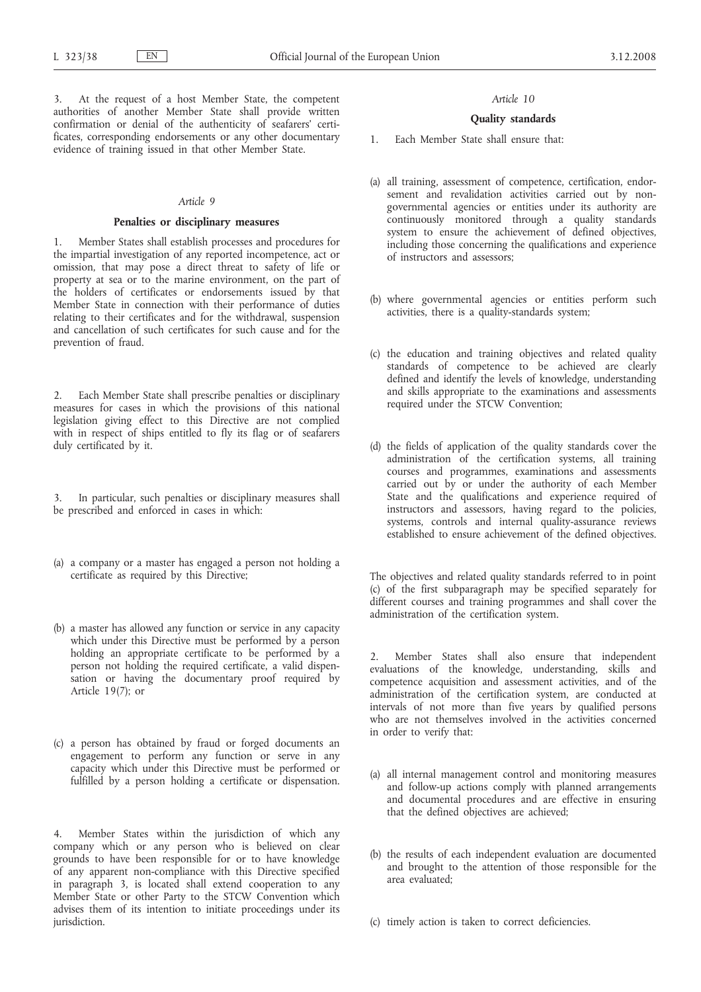3. At the request of a host Member State, the competent authorities of another Member State shall provide written confirmation or denial of the authenticity of seafarers' certificates, corresponding endorsements or any other documentary evidence of training issued in that other Member State.

## *Article 9*

## **Penalties or disciplinary measures**

1. Member States shall establish processes and procedures for the impartial investigation of any reported incompetence, act or omission, that may pose a direct threat to safety of life or property at sea or to the marine environment, on the part of the holders of certificates or endorsements issued by that Member State in connection with their performance of duties relating to their certificates and for the withdrawal, suspension and cancellation of such certificates for such cause and for the prevention of fraud.

2. Each Member State shall prescribe penalties or disciplinary measures for cases in which the provisions of this national legislation giving effect to this Directive are not complied with in respect of ships entitled to fly its flag or of seafarers duly certificated by it.

In particular, such penalties or disciplinary measures shall be prescribed and enforced in cases in which:

- (a) a company or a master has engaged a person not holding a certificate as required by this Directive;
- (b) a master has allowed any function or service in any capacity which under this Directive must be performed by a person holding an appropriate certificate to be performed by a person not holding the required certificate, a valid dispensation or having the documentary proof required by Article 19(7); or
- (c) a person has obtained by fraud or forged documents an engagement to perform any function or serve in any capacity which under this Directive must be performed or fulfilled by a person holding a certificate or dispensation.

4. Member States within the jurisdiction of which any company which or any person who is believed on clear grounds to have been responsible for or to have knowledge of any apparent non-compliance with this Directive specified in paragraph 3, is located shall extend cooperation to any Member State or other Party to the STCW Convention which advises them of its intention to initiate proceedings under its jurisdiction.

#### *Article 10*

## **Quality standards**

1. Each Member State shall ensure that:

- (a) all training, assessment of competence, certification, endorsement and revalidation activities carried out by nongovernmental agencies or entities under its authority are continuously monitored through a quality standards system to ensure the achievement of defined objectives, including those concerning the qualifications and experience of instructors and assessors;
- (b) where governmental agencies or entities perform such activities, there is a quality-standards system;
- (c) the education and training objectives and related quality standards of competence to be achieved are clearly defined and identify the levels of knowledge, understanding and skills appropriate to the examinations and assessments required under the STCW Convention;
- (d) the fields of application of the quality standards cover the administration of the certification systems, all training courses and programmes, examinations and assessments carried out by or under the authority of each Member State and the qualifications and experience required of instructors and assessors, having regard to the policies, systems, controls and internal quality-assurance reviews established to ensure achievement of the defined objectives.

The objectives and related quality standards referred to in point (c) of the first subparagraph may be specified separately for different courses and training programmes and shall cover the administration of the certification system.

2. Member States shall also ensure that independent evaluations of the knowledge, understanding, skills and competence acquisition and assessment activities, and of the administration of the certification system, are conducted at intervals of not more than five years by qualified persons who are not themselves involved in the activities concerned in order to verify that:

- (a) all internal management control and monitoring measures and follow-up actions comply with planned arrangements and documental procedures and are effective in ensuring that the defined objectives are achieved;
- (b) the results of each independent evaluation are documented and brought to the attention of those responsible for the area evaluated;

(c) timely action is taken to correct deficiencies.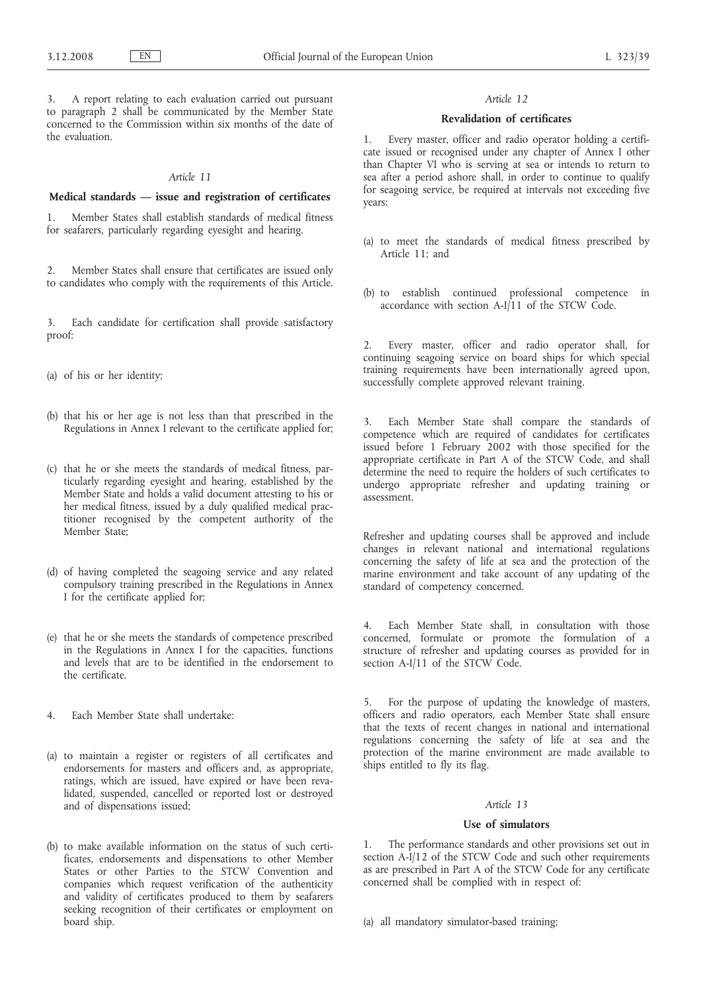3. A report relating to each evaluation carried out pursuant to paragraph 2 shall be communicated by the Member State concerned to the Commission within six months of the date of the evaluation.

## *Article 11*

## **Medical standards** *—* **issue and registration of certificates**

1. Member States shall establish standards of medical fitness for seafarers, particularly regarding eyesight and hearing.

2. Member States shall ensure that certificates are issued only to candidates who comply with the requirements of this Article.

3. Each candidate for certification shall provide satisfactory proof:

(a) of his or her identity;

- (b) that his or her age is not less than that prescribed in the Regulations in Annex I relevant to the certificate applied for;
- (c) that he or she meets the standards of medical fitness, particularly regarding eyesight and hearing, established by the Member State and holds a valid document attesting to his or her medical fitness, issued by a duly qualified medical practitioner recognised by the competent authority of the Member State;
- (d) of having completed the seagoing service and any related compulsory training prescribed in the Regulations in Annex I for the certificate applied for;
- (e) that he or she meets the standards of competence prescribed in the Regulations in Annex I for the capacities, functions and levels that are to be identified in the endorsement to the certificate.
- 4. Each Member State shall undertake:
- (a) to maintain a register or registers of all certificates and endorsements for masters and officers and, as appropriate, ratings, which are issued, have expired or have been revalidated, suspended, cancelled or reported lost or destroyed and of dispensations issued;
- (b) to make available information on the status of such certificates, endorsements and dispensations to other Member States or other Parties to the STCW Convention and companies which request verification of the authenticity and validity of certificates produced to them by seafarers seeking recognition of their certificates or employment on board ship.

## *Article 12*

## **Revalidation of certificates**

1. Every master, officer and radio operator holding a certificate issued or recognised under any chapter of Annex I other than Chapter VI who is serving at sea or intends to return to sea after a period ashore shall, in order to continue to qualify for seagoing service, be required at intervals not exceeding five years:

- (a) to meet the standards of medical fitness prescribed by Article 11; and
- (b) to establish continued professional competence in accordance with section A-I $/11$  of the STCW Code.

2. Every master, officer and radio operator shall, for continuing seagoing service on board ships for which special training requirements have been internationally agreed upon, successfully complete approved relevant training.

3. Each Member State shall compare the standards of competence which are required of candidates for certificates issued before 1 February 2002 with those specified for the appropriate certificate in Part A of the STCW Code, and shall determine the need to require the holders of such certificates to undergo appropriate refresher and updating training or assessment.

Refresher and updating courses shall be approved and include changes in relevant national and international regulations concerning the safety of life at sea and the protection of the marine environment and take account of any updating of the standard of competency concerned.

Each Member State shall, in consultation with those concerned, formulate or promote the formulation of a structure of refresher and updating courses as provided for in section A-I/11 of the STCW Code.

5. For the purpose of updating the knowledge of masters, officers and radio operators, each Member State shall ensure that the texts of recent changes in national and international regulations concerning the safety of life at sea and the protection of the marine environment are made available to ships entitled to fly its flag.

## *Article 13*

## **Use of simulators**

1. The performance standards and other provisions set out in section A-I/12 of the STCW Code and such other requirements as are prescribed in Part A of the STCW Code for any certificate concerned shall be complied with in respect of:

(a) all mandatory simulator-based training;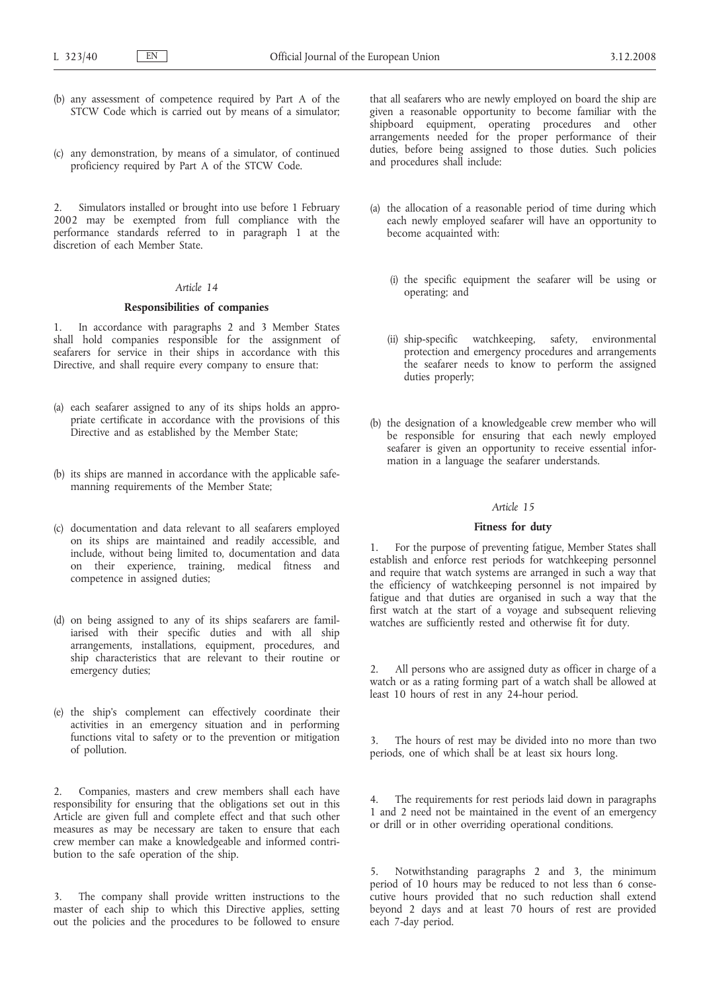- (b) any assessment of competence required by Part A of the STCW Code which is carried out by means of a simulator;
- (c) any demonstration, by means of a simulator, of continued proficiency required by Part A of the STCW Code.

Simulators installed or brought into use before 1 February 2002 may be exempted from full compliance with the performance standards referred to in paragraph 1 at the discretion of each Member State.

## *Article 14*

## **Responsibilities of companies**

1. In accordance with paragraphs 2 and 3 Member States shall hold companies responsible for the assignment of seafarers for service in their ships in accordance with this Directive, and shall require every company to ensure that:

- (a) each seafarer assigned to any of its ships holds an appropriate certificate in accordance with the provisions of this Directive and as established by the Member State;
- (b) its ships are manned in accordance with the applicable safemanning requirements of the Member State;
- (c) documentation and data relevant to all seafarers employed on its ships are maintained and readily accessible, and include, without being limited to, documentation and data on their experience, training, medical fitness and competence in assigned duties;
- (d) on being assigned to any of its ships seafarers are familiarised with their specific duties and with all ship arrangements, installations, equipment, procedures, and ship characteristics that are relevant to their routine or emergency duties;
- (e) the ship's complement can effectively coordinate their activities in an emergency situation and in performing functions vital to safety or to the prevention or mitigation of pollution.

2. Companies, masters and crew members shall each have responsibility for ensuring that the obligations set out in this Article are given full and complete effect and that such other measures as may be necessary are taken to ensure that each crew member can make a knowledgeable and informed contribution to the safe operation of the ship.

3. The company shall provide written instructions to the master of each ship to which this Directive applies, setting out the policies and the procedures to be followed to ensure

that all seafarers who are newly employed on board the ship are given a reasonable opportunity to become familiar with the shipboard equipment, operating procedures and other arrangements needed for the proper performance of their duties, before being assigned to those duties. Such policies and procedures shall include:

- (a) the allocation of a reasonable period of time during which each newly employed seafarer will have an opportunity to become acquainted with:
	- (i) the specific equipment the seafarer will be using or operating; and
	- (ii) ship-specific watchkeeping, safety, environmental protection and emergency procedures and arrangements the seafarer needs to know to perform the assigned duties properly;
- (b) the designation of a knowledgeable crew member who will be responsible for ensuring that each newly employed seafarer is given an opportunity to receive essential information in a language the seafarer understands.

#### *Article 15*

## **Fitness for duty**

For the purpose of preventing fatigue, Member States shall establish and enforce rest periods for watchkeeping personnel and require that watch systems are arranged in such a way that the efficiency of watchkeeping personnel is not impaired by fatigue and that duties are organised in such a way that the first watch at the start of a voyage and subsequent relieving watches are sufficiently rested and otherwise fit for duty.

2. All persons who are assigned duty as officer in charge of a watch or as a rating forming part of a watch shall be allowed at least 10 hours of rest in any 24-hour period.

3. The hours of rest may be divided into no more than two periods, one of which shall be at least six hours long.

The requirements for rest periods laid down in paragraphs 1 and 2 need not be maintained in the event of an emergency or drill or in other overriding operational conditions.

5. Notwithstanding paragraphs 2 and 3, the minimum period of 10 hours may be reduced to not less than 6 consecutive hours provided that no such reduction shall extend beyond 2 days and at least 70 hours of rest are provided each 7-day period.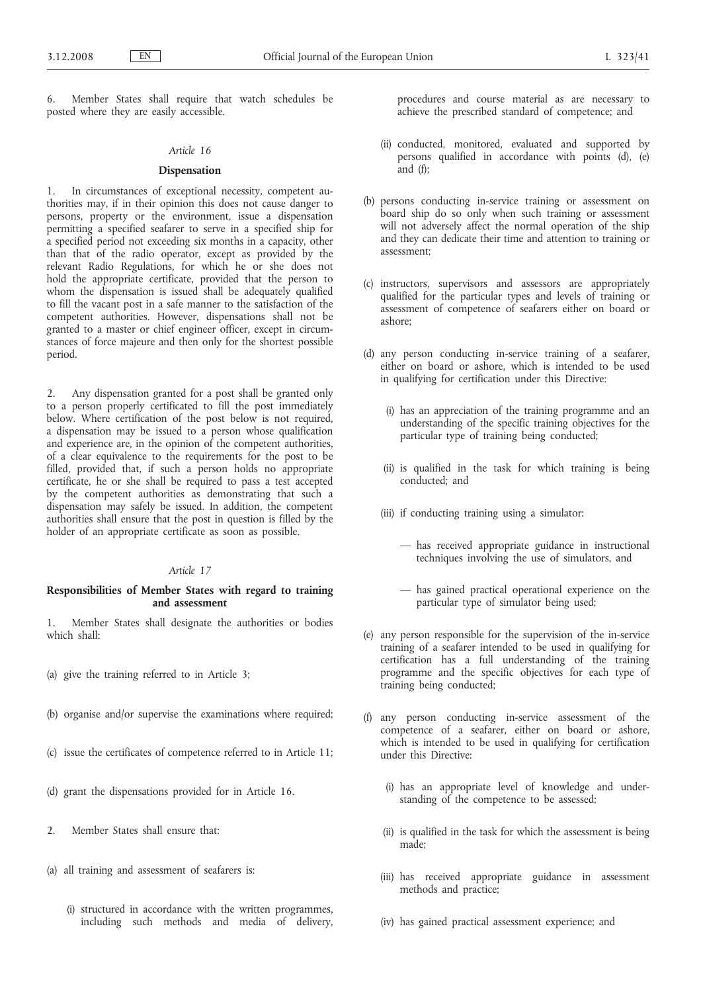6. Member States shall require that watch schedules be posted where they are easily accessible.

## *Article 16*

#### **Dispensation**

In circumstances of exceptional necessity, competent authorities may, if in their opinion this does not cause danger to persons, property or the environment, issue a dispensation permitting a specified seafarer to serve in a specified ship for a specified period not exceeding six months in a capacity, other than that of the radio operator, except as provided by the relevant Radio Regulations, for which he or she does not hold the appropriate certificate, provided that the person to whom the dispensation is issued shall be adequately qualified to fill the vacant post in a safe manner to the satisfaction of the competent authorities. However, dispensations shall not be granted to a master or chief engineer officer, except in circumstances of force majeure and then only for the shortest possible period.

2. Any dispensation granted for a post shall be granted only to a person properly certificated to fill the post immediately below. Where certification of the post below is not required, a dispensation may be issued to a person whose qualification and experience are, in the opinion of the competent authorities, of a clear equivalence to the requirements for the post to be filled, provided that, if such a person holds no appropriate certificate, he or she shall be required to pass a test accepted by the competent authorities as demonstrating that such a dispensation may safely be issued. In addition, the competent authorities shall ensure that the post in question is filled by the holder of an appropriate certificate as soon as possible.

## *Article 17*

## **Responsibilities of Member States with regard to training and assessment**

1. Member States shall designate the authorities or bodies which shall:

- (a) give the training referred to in Article 3;
- (b) organise and/or supervise the examinations where required;
- (c) issue the certificates of competence referred to in Article 11;
- (d) grant the dispensations provided for in Article 16.
- 2. Member States shall ensure that:
- (a) all training and assessment of seafarers is:
	- (i) structured in accordance with the written programmes, including such methods and media of delivery,

procedures and course material as are necessary to achieve the prescribed standard of competence; and

- (ii) conducted, monitored, evaluated and supported by persons qualified in accordance with points (d), (e) and (f);
- (b) persons conducting in-service training or assessment on board ship do so only when such training or assessment will not adversely affect the normal operation of the ship and they can dedicate their time and attention to training or assessment;
- (c) instructors, supervisors and assessors are appropriately qualified for the particular types and levels of training or assessment of competence of seafarers either on board or ashore;
- (d) any person conducting in-service training of a seafarer, either on board or ashore, which is intended to be used in qualifying for certification under this Directive:
	- (i) has an appreciation of the training programme and an understanding of the specific training objectives for the particular type of training being conducted;
	- (ii) is qualified in the task for which training is being conducted; and
	- (iii) if conducting training using a simulator:
		- has received appropriate guidance in instructional techniques involving the use of simulators, and
		- has gained practical operational experience on the particular type of simulator being used;
- (e) any person responsible for the supervision of the in-service training of a seafarer intended to be used in qualifying for certification has a full understanding of the training programme and the specific objectives for each type of training being conducted;
- (f) any person conducting in-service assessment of the competence of a seafarer, either on board or ashore, which is intended to be used in qualifying for certification under this Directive:
	- (i) has an appropriate level of knowledge and understanding of the competence to be assessed;
	- (ii) is qualified in the task for which the assessment is being made;
	- (iii) has received appropriate guidance in assessment methods and practice;
	- (iv) has gained practical assessment experience; and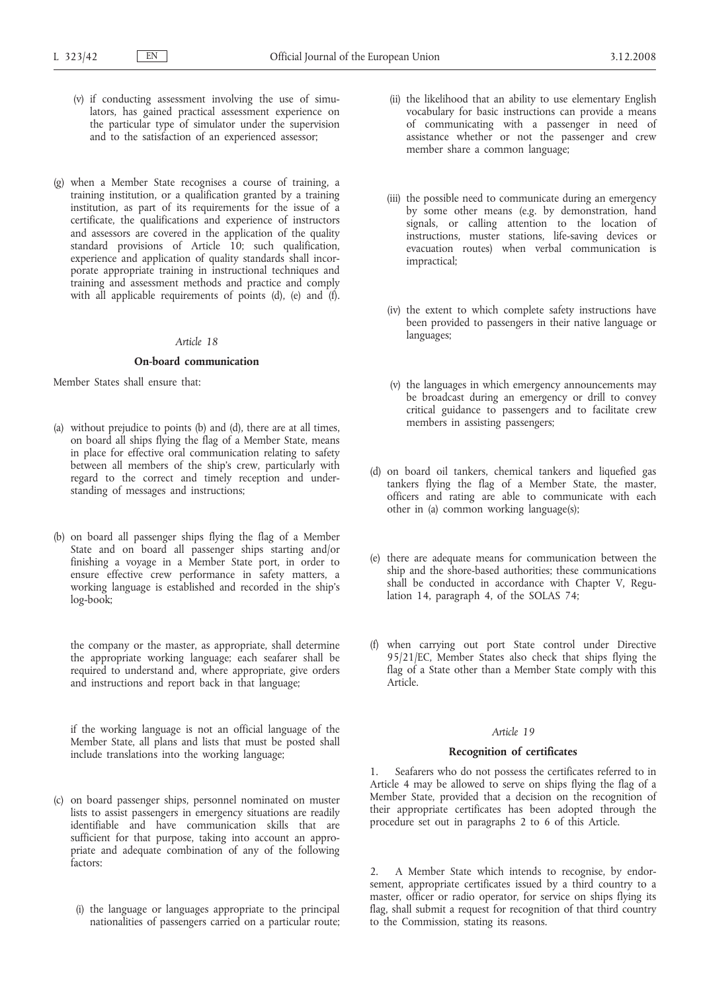- (v) if conducting assessment involving the use of simulators, has gained practical assessment experience on the particular type of simulator under the supervision and to the satisfaction of an experienced assessor;
- (g) when a Member State recognises a course of training, a training institution, or a qualification granted by a training institution, as part of its requirements for the issue of a certificate, the qualifications and experience of instructors and assessors are covered in the application of the quality standard provisions of Article 10; such qualification, experience and application of quality standards shall incorporate appropriate training in instructional techniques and training and assessment methods and practice and comply with all applicable requirements of points (d), (e) and  $(f)$ .

## *Article 18*

### **On-board communication**

Member States shall ensure that:

- (a) without prejudice to points (b) and (d), there are at all times, on board all ships flying the flag of a Member State, means in place for effective oral communication relating to safety between all members of the ship's crew, particularly with regard to the correct and timely reception and understanding of messages and instructions;
- (b) on board all passenger ships flying the flag of a Member State and on board all passenger ships starting and/or finishing a voyage in a Member State port, in order to ensure effective crew performance in safety matters, a working language is established and recorded in the ship's log-book;

the company or the master, as appropriate, shall determine the appropriate working language; each seafarer shall be required to understand and, where appropriate, give orders and instructions and report back in that language;

if the working language is not an official language of the Member State, all plans and lists that must be posted shall include translations into the working language;

- (c) on board passenger ships, personnel nominated on muster lists to assist passengers in emergency situations are readily identifiable and have communication skills that are sufficient for that purpose, taking into account an appropriate and adequate combination of any of the following factors:
	- (i) the language or languages appropriate to the principal nationalities of passengers carried on a particular route;
- (ii) the likelihood that an ability to use elementary English vocabulary for basic instructions can provide a means of communicating with a passenger in need of assistance whether or not the passenger and crew member share a common language;
- (iii) the possible need to communicate during an emergency by some other means (e.g. by demonstration, hand signals, or calling attention to the location of instructions, muster stations, life-saving devices or evacuation routes) when verbal communication is impractical;
- (iv) the extent to which complete safety instructions have been provided to passengers in their native language or languages;
- (v) the languages in which emergency announcements may be broadcast during an emergency or drill to convey critical guidance to passengers and to facilitate crew members in assisting passengers;
- (d) on board oil tankers, chemical tankers and liquefied gas tankers flying the flag of a Member State, the master, officers and rating are able to communicate with each other in (a) common working language(s);
- (e) there are adequate means for communication between the ship and the shore-based authorities; these communications shall be conducted in accordance with Chapter V, Regulation 14, paragraph 4, of the SOLAS 74;
- (f) when carrying out port State control under Directive 95/21/EC, Member States also check that ships flying the flag of a State other than a Member State comply with this Article.

## *Article 19*

## **Recognition of certificates**

Seafarers who do not possess the certificates referred to in Article 4 may be allowed to serve on ships flying the flag of a Member State, provided that a decision on the recognition of their appropriate certificates has been adopted through the procedure set out in paragraphs 2 to 6 of this Article.

A Member State which intends to recognise, by endorsement, appropriate certificates issued by a third country to a master, officer or radio operator, for service on ships flying its flag, shall submit a request for recognition of that third country to the Commission, stating its reasons.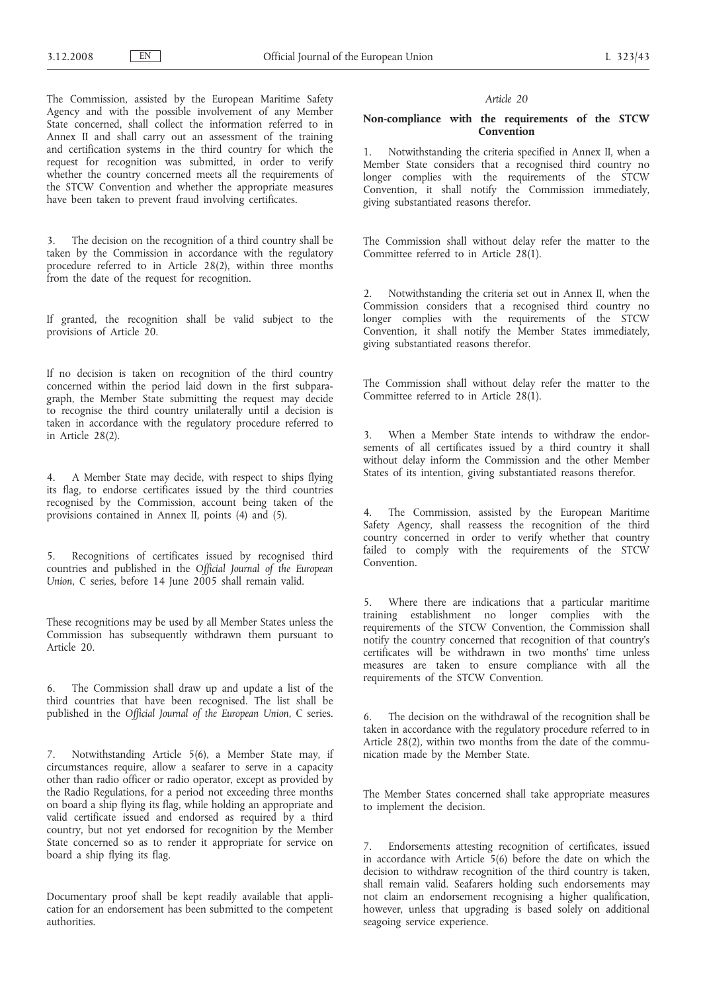The Commission, assisted by the European Maritime Safety Agency and with the possible involvement of any Member State concerned, shall collect the information referred to in Annex II and shall carry out an assessment of the training and certification systems in the third country for which the request for recognition was submitted, in order to verify whether the country concerned meets all the requirements of the STCW Convention and whether the appropriate measures have been taken to prevent fraud involving certificates.

3. The decision on the recognition of a third country shall be taken by the Commission in accordance with the regulatory procedure referred to in Article 28(2), within three months from the date of the request for recognition.

If granted, the recognition shall be valid subject to the provisions of Article 20.

If no decision is taken on recognition of the third country concerned within the period laid down in the first subparagraph, the Member State submitting the request may decide to recognise the third country unilaterally until a decision is taken in accordance with the regulatory procedure referred to in Article 28(2).

4. A Member State may decide, with respect to ships flying its flag, to endorse certificates issued by the third countries recognised by the Commission, account being taken of the provisions contained in Annex II, points (4) and (5).

5. Recognitions of certificates issued by recognised third countries and published in the *Official Journal of the European Union*, C series, before 14 June 2005 shall remain valid.

These recognitions may be used by all Member States unless the Commission has subsequently withdrawn them pursuant to Article 20.

6. The Commission shall draw up and update a list of the third countries that have been recognised. The list shall be published in the *Official Journal of the European Union*, C series.

7. Notwithstanding Article 5(6), a Member State may, if circumstances require, allow a seafarer to serve in a capacity other than radio officer or radio operator, except as provided by the Radio Regulations, for a period not exceeding three months on board a ship flying its flag, while holding an appropriate and valid certificate issued and endorsed as required by a third country, but not yet endorsed for recognition by the Member State concerned so as to render it appropriate for service on board a ship flying its flag.

Documentary proof shall be kept readily available that application for an endorsement has been submitted to the competent authorities.

### *Article 20*

## **Non-compliance with the requirements of the STCW Convention**

1. Notwithstanding the criteria specified in Annex II, when a Member State considers that a recognised third country no longer complies with the requirements of the STCW Convention, it shall notify the Commission immediately, giving substantiated reasons therefor.

The Commission shall without delay refer the matter to the Committee referred to in Article 28(1).

2. Notwithstanding the criteria set out in Annex II, when the Commission considers that a recognised third country no longer complies with the requirements of the STCW Convention, it shall notify the Member States immediately, giving substantiated reasons therefor.

The Commission shall without delay refer the matter to the Committee referred to in Article 28(1).

3. When a Member State intends to withdraw the endorsements of all certificates issued by a third country it shall without delay inform the Commission and the other Member States of its intention, giving substantiated reasons therefor.

4. The Commission, assisted by the European Maritime Safety Agency, shall reassess the recognition of the third country concerned in order to verify whether that country failed to comply with the requirements of the STCW Convention.

5. Where there are indications that a particular maritime training establishment no longer complies with the requirements of the STCW Convention, the Commission shall notify the country concerned that recognition of that country's certificates will be withdrawn in two months' time unless measures are taken to ensure compliance with all the requirements of the STCW Convention.

6. The decision on the withdrawal of the recognition shall be taken in accordance with the regulatory procedure referred to in Article 28(2), within two months from the date of the communication made by the Member State.

The Member States concerned shall take appropriate measures to implement the decision.

7. Endorsements attesting recognition of certificates, issued in accordance with Article  $5(6)$  before the date on which the decision to withdraw recognition of the third country is taken, shall remain valid. Seafarers holding such endorsements may not claim an endorsement recognising a higher qualification, however, unless that upgrading is based solely on additional seagoing service experience.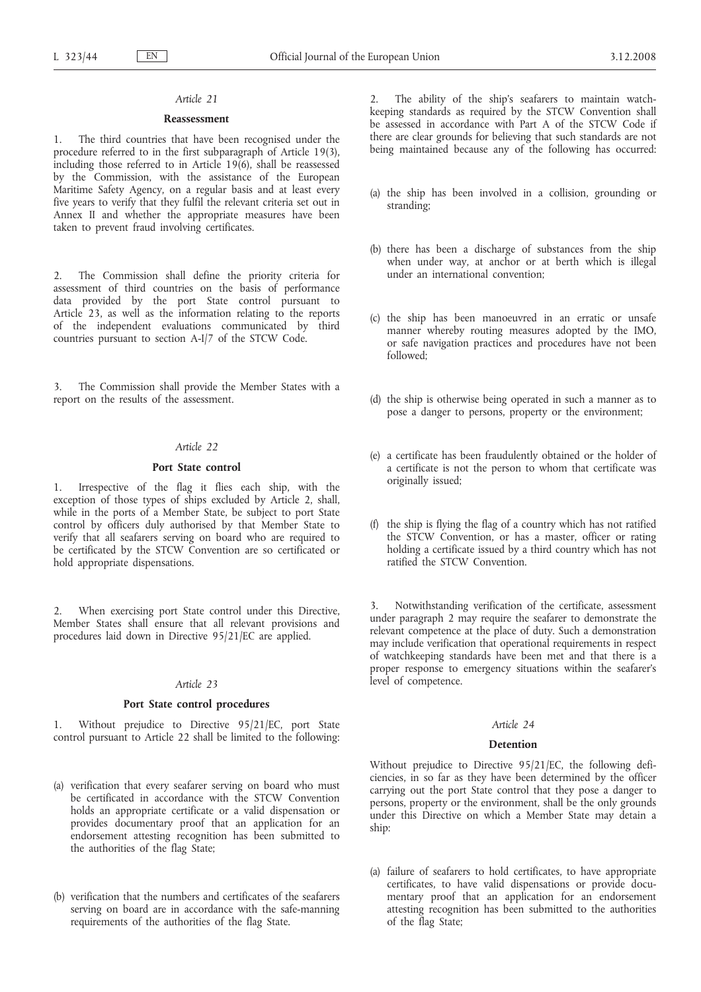# *Article 21*

## **Reassessment**

1. The third countries that have been recognised under the procedure referred to in the first subparagraph of Article 19(3), including those referred to in Article 19(6), shall be reassessed by the Commission, with the assistance of the European Maritime Safety Agency, on a regular basis and at least every five years to verify that they fulfil the relevant criteria set out in Annex II and whether the appropriate measures have been taken to prevent fraud involving certificates.

2. The Commission shall define the priority criteria for assessment of third countries on the basis of performance data provided by the port State control pursuant to Article 23, as well as the information relating to the reports of the independent evaluations communicated by third countries pursuant to section A-I/7 of the STCW Code.

The Commission shall provide the Member States with a report on the results of the assessment.

## *Article 22*

## **Port State control**

1. Irrespective of the flag it flies each ship, with the exception of those types of ships excluded by Article 2, shall, while in the ports of a Member State, be subject to port State control by officers duly authorised by that Member State to verify that all seafarers serving on board who are required to be certificated by the STCW Convention are so certificated or hold appropriate dispensations.

When exercising port State control under this Directive, Member States shall ensure that all relevant provisions and procedures laid down in Directive 95/21/EC are applied.

### *Article 23*

## **Port State control procedures**

Without prejudice to Directive 95/21/EC, port State control pursuant to Article 22 shall be limited to the following:

- (a) verification that every seafarer serving on board who must be certificated in accordance with the STCW Convention holds an appropriate certificate or a valid dispensation or provides documentary proof that an application for an endorsement attesting recognition has been submitted to the authorities of the flag State;
- (b) verification that the numbers and certificates of the seafarers serving on board are in accordance with the safe-manning requirements of the authorities of the flag State.

The ability of the ship's seafarers to maintain watchkeeping standards as required by the STCW Convention shall be assessed in accordance with Part A of the STCW Code if there are clear grounds for believing that such standards are not being maintained because any of the following has occurred:

- (a) the ship has been involved in a collision, grounding or stranding;
- (b) there has been a discharge of substances from the ship when under way, at anchor or at berth which is illegal under an international convention;
- (c) the ship has been manoeuvred in an erratic or unsafe manner whereby routing measures adopted by the IMO, or safe navigation practices and procedures have not been followed;
- (d) the ship is otherwise being operated in such a manner as to pose a danger to persons, property or the environment;
- (e) a certificate has been fraudulently obtained or the holder of a certificate is not the person to whom that certificate was originally issued;
- (f) the ship is flying the flag of a country which has not ratified the STCW Convention, or has a master, officer or rating holding a certificate issued by a third country which has not ratified the STCW Convention.

3. Notwithstanding verification of the certificate, assessment under paragraph 2 may require the seafarer to demonstrate the relevant competence at the place of duty. Such a demonstration may include verification that operational requirements in respect of watchkeeping standards have been met and that there is a proper response to emergency situations within the seafarer's level of competence.

### *Article 24*

### **Detention**

Without prejudice to Directive 95/21/EC, the following deficiencies, in so far as they have been determined by the officer carrying out the port State control that they pose a danger to persons, property or the environment, shall be the only grounds under this Directive on which a Member State may detain a ship:

(a) failure of seafarers to hold certificates, to have appropriate certificates, to have valid dispensations or provide documentary proof that an application for an endorsement attesting recognition has been submitted to the authorities of the flag State;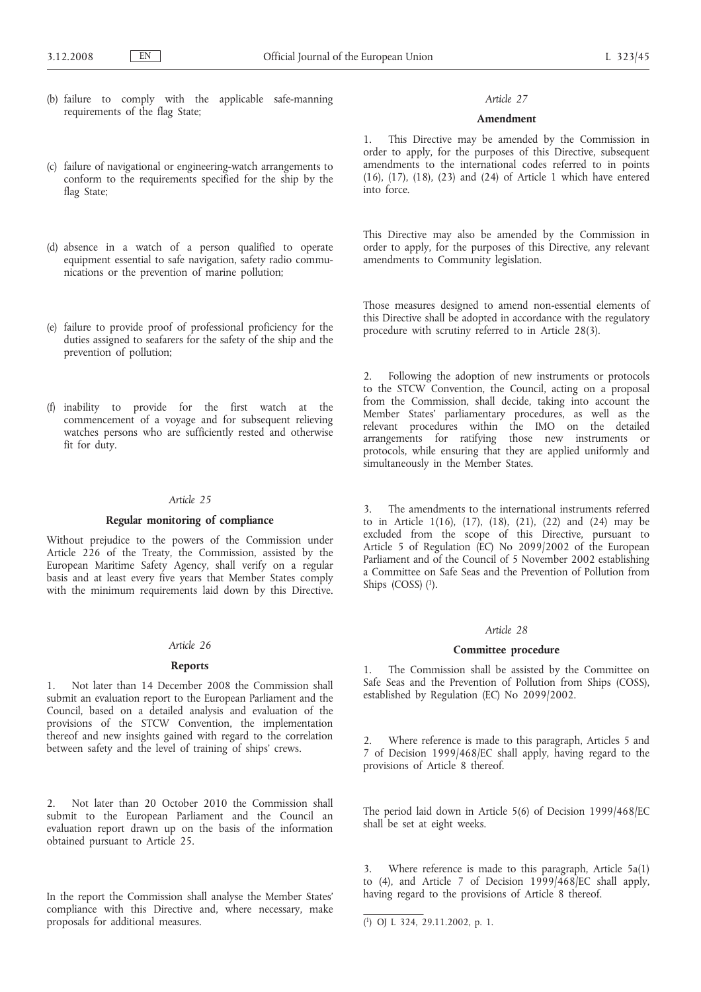flag State;

(b) failure to comply with the applicable safe-manning requirements of the flag State;

# *Article 27*

## **Amendment**

1. This Directive may be amended by the Commission in order to apply, for the purposes of this Directive, subsequent amendments to the international codes referred to in points (16), (17), (18), (23) and (24) of Article 1 which have entered into force.

This Directive may also be amended by the Commission in order to apply, for the purposes of this Directive, any relevant amendments to Community legislation.

Those measures designed to amend non-essential elements of this Directive shall be adopted in accordance with the regulatory procedure with scrutiny referred to in Article 28(3).

Following the adoption of new instruments or protocols to the STCW Convention, the Council, acting on a proposal from the Commission, shall decide, taking into account the Member States' parliamentary procedures, as well as the relevant procedures within the IMO on the detailed arrangements for ratifying those new instruments or protocols, while ensuring that they are applied uniformly and simultaneously in the Member States.

3. The amendments to the international instruments referred to in Article 1(16), (17), (18), (21), (22) and (24) may be excluded from the scope of this Directive, pursuant to Article 5 of Regulation (EC) No 2099/2002 of the European Parliament and of the Council of 5 November 2002 establishing a Committee on Safe Seas and the Prevention of Pollution from Ships  $(COSS)$   $(1)$ .

#### *Article 28*

### **Committee procedure**

1. The Commission shall be assisted by the Committee on Safe Seas and the Prevention of Pollution from Ships (COSS), established by Regulation (EC) No 2099/2002.

2. Where reference is made to this paragraph, Articles 5 and 7 of Decision 1999/468/EC shall apply, having regard to the provisions of Article 8 thereof.

The period laid down in Article 5(6) of Decision 1999/468/EC shall be set at eight weeks.

Where reference is made to this paragraph, Article 5a(1) to (4), and Article 7 of Decision 1999/468/EC shall apply, having regard to the provisions of Article 8 thereof.

(c) failure of navigational or engineering-watch arrangements to conform to the requirements specified for the ship by the

- (d) absence in a watch of a person qualified to operate equipment essential to safe navigation, safety radio communications or the prevention of marine pollution;
- (e) failure to provide proof of professional proficiency for the duties assigned to seafarers for the safety of the ship and the prevention of pollution;
- (f) inability to provide for the first watch at the commencement of a voyage and for subsequent relieving watches persons who are sufficiently rested and otherwise fit for duty.

## *Article 25*

### **Regular monitoring of compliance**

Without prejudice to the powers of the Commission under Article 226 of the Treaty, the Commission, assisted by the European Maritime Safety Agency, shall verify on a regular basis and at least every five years that Member States comply with the minimum requirements laid down by this Directive.

## *Article 26*

### **Reports**

1. Not later than 14 December 2008 the Commission shall submit an evaluation report to the European Parliament and the Council, based on a detailed analysis and evaluation of the provisions of the STCW Convention, the implementation thereof and new insights gained with regard to the correlation between safety and the level of training of ships' crews.

2. Not later than 20 October 2010 the Commission shall submit to the European Parliament and the Council an evaluation report drawn up on the basis of the information obtained pursuant to Article 25.

In the report the Commission shall analyse the Member States' compliance with this Directive and, where necessary, make proposals for additional measures.

<sup>(</sup> 1) OJ L 324, 29.11.2002, p. 1.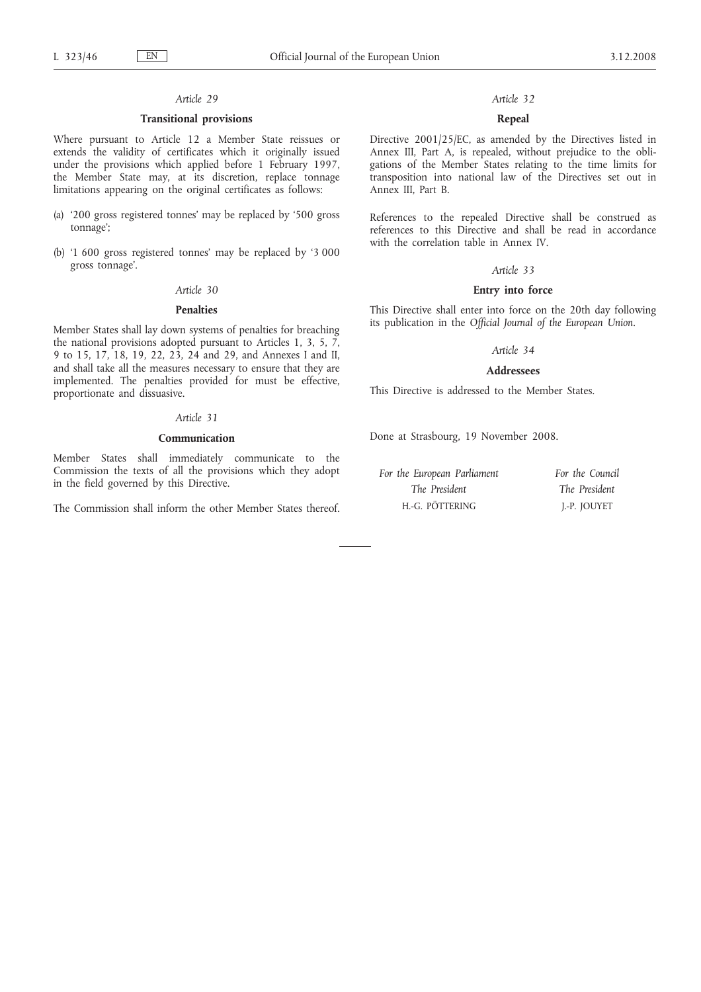## *Article 29*

## **Transitional provisions**

Where pursuant to Article 12 a Member State reissues or extends the validity of certificates which it originally issued under the provisions which applied before 1 February 1997, the Member State may, at its discretion, replace tonnage limitations appearing on the original certificates as follows:

- (a) '200 gross registered tonnes' may be replaced by '500 gross tonnage';
- (b) '1 600 gross registered tonnes' may be replaced by '3 000 gross tonnage'.

## *Article 30*

#### **Penalties**

Member States shall lay down systems of penalties for breaching the national provisions adopted pursuant to Articles 1, 3, 5, 7, 9 to 15, 17, 18, 19, 22, 23, 24 and 29, and Annexes I and II, and shall take all the measures necessary to ensure that they are implemented. The penalties provided for must be effective, proportionate and dissuasive.

## *Article 31*

## **Communication**

Member States shall immediately communicate to the Commission the texts of all the provisions which they adopt in the field governed by this Directive.

The Commission shall inform the other Member States thereof.

## *Article 32*

## **Repeal**

Directive 2001/25/EC, as amended by the Directives listed in Annex III, Part A, is repealed, without prejudice to the obligations of the Member States relating to the time limits for transposition into national law of the Directives set out in Annex III, Part B.

References to the repealed Directive shall be construed as references to this Directive and shall be read in accordance with the correlation table in Annex IV.

### *Article 33*

## **Entry into force**

This Directive shall enter into force on the 20th day following its publication in the *Official Journal of the European Union*.

#### *Article 34*

## **Addressees**

This Directive is addressed to the Member States.

Done at Strasbourg, 19 November 2008.

*For the European Parliament The President* H.-G. PÖTTERING *For the Council The President* J.-P. JOUYET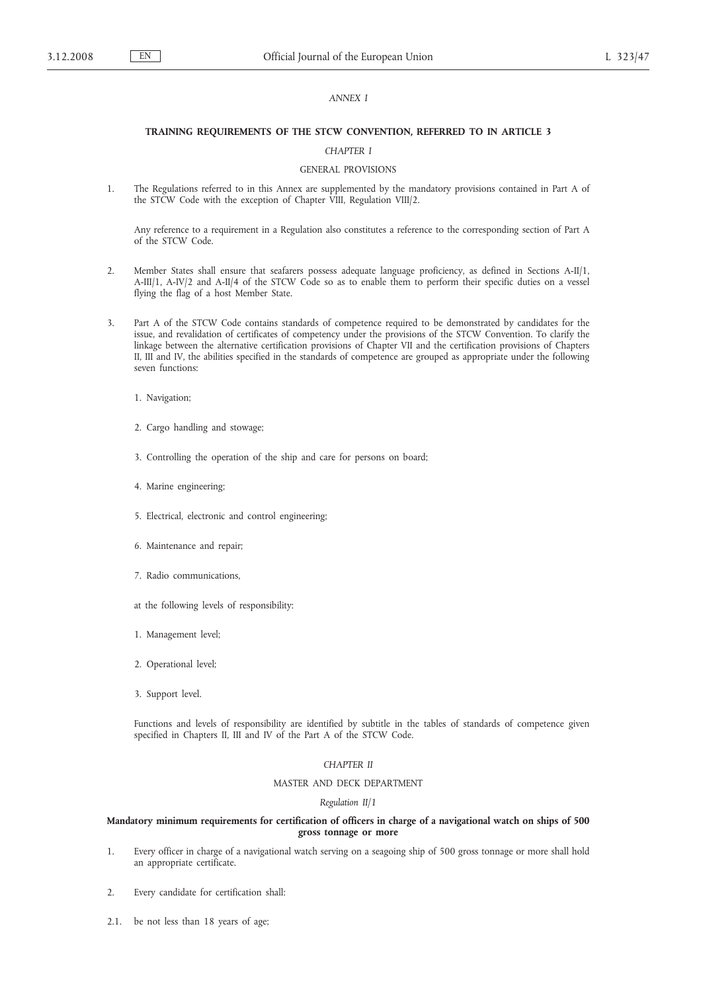## *ANNEX I*

### **TRAINING REQUIREMENTS OF THE STCW CONVENTION, REFERRED TO IN ARTICLE 3**

## *CHAPTER I*

### GENERAL PROVISIONS

1. The Regulations referred to in this Annex are supplemented by the mandatory provisions contained in Part A of the STCW Code with the exception of Chapter VIII, Regulation VIII/2.

Any reference to a requirement in a Regulation also constitutes a reference to the corresponding section of Part A of the STCW Code.

- 2. Member States shall ensure that seafarers possess adequate language proficiency, as defined in Sections A-II/1, A-III/1, A-IV/2 and A-II/4 of the STCW Code so as to enable them to perform their specific duties on a vessel flying the flag of a host Member State.
- 3. Part A of the STCW Code contains standards of competence required to be demonstrated by candidates for the issue, and revalidation of certificates of competency under the provisions of the STCW Convention. To clarify the linkage between the alternative certification provisions of Chapter VII and the certification provisions of Chapters II, III and IV, the abilities specified in the standards of competence are grouped as appropriate under the following seven functions:
	- 1. Navigation;
	- 2. Cargo handling and stowage;
	- 3. Controlling the operation of the ship and care for persons on board;
	- 4. Marine engineering;
	- 5. Electrical, electronic and control engineering;
	- 6. Maintenance and repair;
	- 7. Radio communications,
	- at the following levels of responsibility:
	- 1. Management level;
	- 2. Operational level;
	- 3. Support level.

Functions and levels of responsibility are identified by subtitle in the tables of standards of competence given specified in Chapters II, III and IV of the Part A of the STCW Code.

#### *CHAPTER II*

#### MASTER AND DECK DEPARTMENT

### *Regulation II/1*

## **Mandatory minimum requirements for certification of officers in charge of a navigational watch on ships of 500 gross tonnage or more**

- 1. Every officer in charge of a navigational watch serving on a seagoing ship of 500 gross tonnage or more shall hold an appropriate certificate.
- 2. Every candidate for certification shall:
- 2.1. be not less than 18 years of age;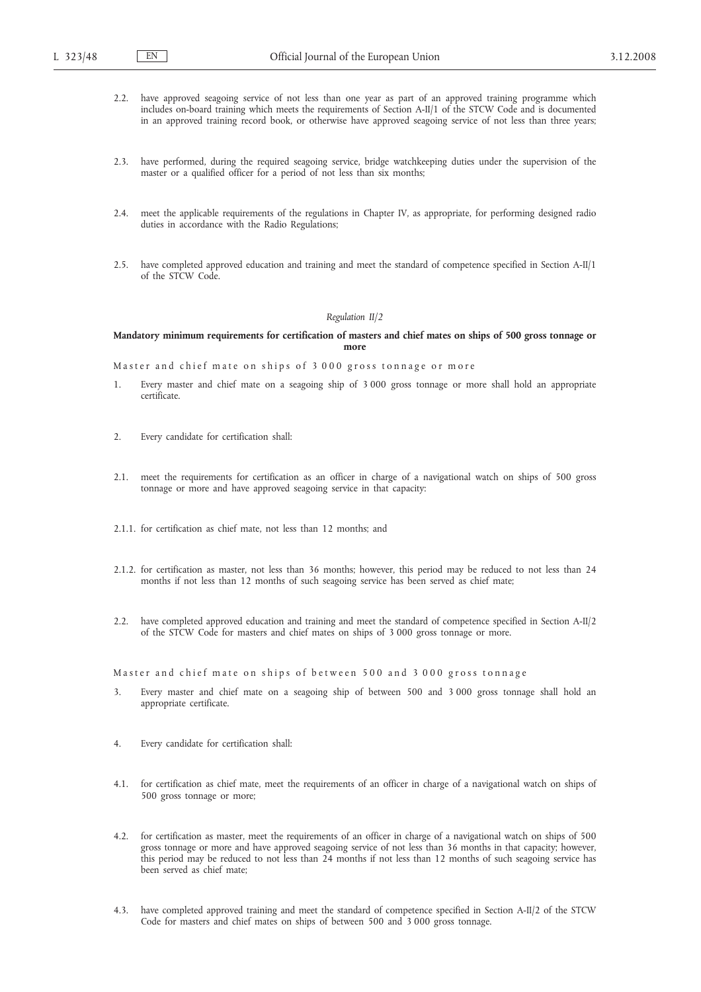- 2.2. have approved seagoing service of not less than one year as part of an approved training programme which includes on-board training which meets the requirements of Section A-II/1 of the STCW Code and is documented in an approved training record book, or otherwise have approved seagoing service of not less than three years;
- 2.3. have performed, during the required seagoing service, bridge watchkeeping duties under the supervision of the master or a qualified officer for a period of not less than six months;
- 2.4. meet the applicable requirements of the regulations in Chapter IV, as appropriate, for performing designed radio duties in accordance with the Radio Regulations;
- 2.5. have completed approved education and training and meet the standard of competence specified in Section A-II/1 of the STCW Code.

#### *Regulation II/2*

**Mandatory minimum requirements for certification of masters and chief mates on ships of 500 gross tonnage or more**

Master and chief mate on ships of 3 000 gross tonnage or more

- 1. Every master and chief mate on a seagoing ship of 3 000 gross tonnage or more shall hold an appropriate certificate.
- 2. Every candidate for certification shall:
- 2.1. meet the requirements for certification as an officer in charge of a navigational watch on ships of 500 gross tonnage or more and have approved seagoing service in that capacity:
- 2.1.1. for certification as chief mate, not less than 12 months; and
- 2.1.2. for certification as master, not less than 36 months; however, this period may be reduced to not less than 24 months if not less than 12 months of such seagoing service has been served as chief mate;
- 2.2. have completed approved education and training and meet the standard of competence specified in Section A-II/2 of the STCW Code for masters and chief mates on ships of 3 000 gross tonnage or more.

Master and chief mate on ships of between 500 and 3 000 gross tonnage

- 3. Every master and chief mate on a seagoing ship of between 500 and 3 000 gross tonnage shall hold an appropriate certificate.
- 4. Every candidate for certification shall:
- 4.1. for certification as chief mate, meet the requirements of an officer in charge of a navigational watch on ships of 500 gross tonnage or more;
- 4.2. for certification as master, meet the requirements of an officer in charge of a navigational watch on ships of 500 gross tonnage or more and have approved seagoing service of not less than 36 months in that capacity; however, this period may be reduced to not less than 24 months if not less than 12 months of such seagoing service has been served as chief mate;
- 4.3. have completed approved training and meet the standard of competence specified in Section A-II/2 of the STCW Code for masters and chief mates on ships of between 500 and 3 000 gross tonnage.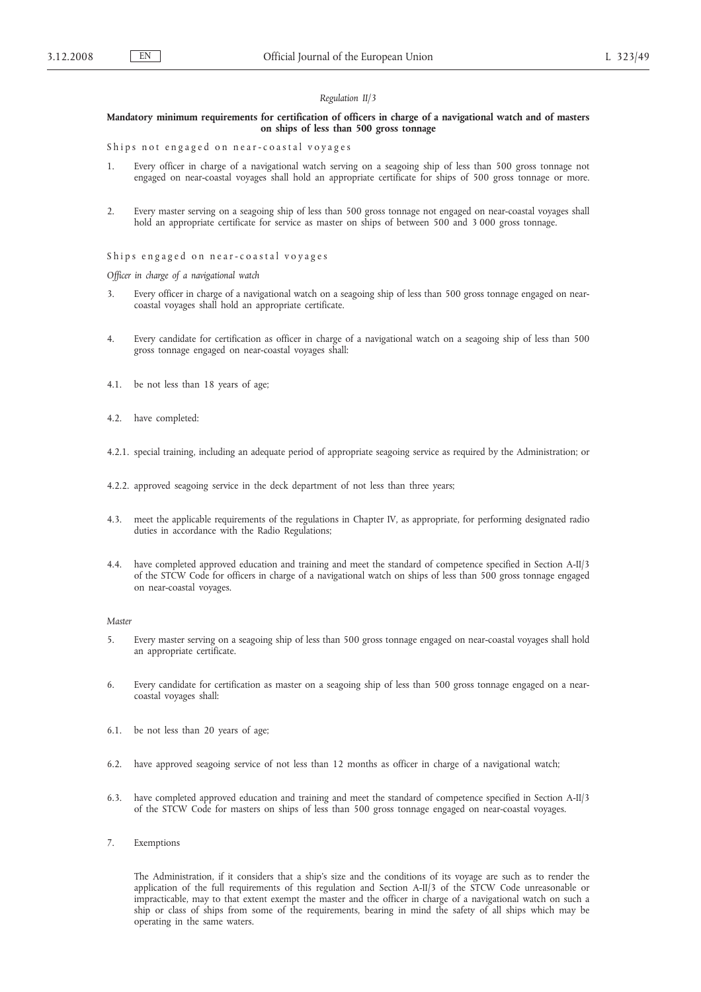### *Regulation II/3*

### **Mandatory minimum requirements for certification of officers in charge of a navigational watch and of masters on ships of less than 500 gross tonnage**

Ships not engaged on near-coastal voyages

- 1. Every officer in charge of a navigational watch serving on a seagoing ship of less than 500 gross tonnage not engaged on near-coastal voyages shall hold an appropriate certificate for ships of 500 gross tonnage or more.
- 2. Every master serving on a seagoing ship of less than 500 gross tonnage not engaged on near-coastal voyages shall hold an appropriate certificate for service as master on ships of between 500 and 3 000 gross tonnage.

#### Ships engaged on near-coastal voyages

*Officer in charge of a navigational watch*

- 3. Every officer in charge of a navigational watch on a seagoing ship of less than 500 gross tonnage engaged on nearcoastal voyages shall hold an appropriate certificate.
- 4. Every candidate for certification as officer in charge of a navigational watch on a seagoing ship of less than 500 gross tonnage engaged on near-coastal voyages shall:
- 4.1. be not less than 18 years of age;
- 4.2. have completed:
- 4.2.1. special training, including an adequate period of appropriate seagoing service as required by the Administration; or
- 4.2.2. approved seagoing service in the deck department of not less than three years;
- 4.3. meet the applicable requirements of the regulations in Chapter IV, as appropriate, for performing designated radio duties in accordance with the Radio Regulations;
- 4.4. have completed approved education and training and meet the standard of competence specified in Section A-II/3 of the STCW Code for officers in charge of a navigational watch on ships of less than 500 gross tonnage engaged on near-coastal voyages.

### *Master*

- 5. Every master serving on a seagoing ship of less than 500 gross tonnage engaged on near-coastal voyages shall hold an appropriate certificate.
- 6. Every candidate for certification as master on a seagoing ship of less than 500 gross tonnage engaged on a nearcoastal voyages shall:
- 6.1. be not less than 20 years of age;
- 6.2. have approved seagoing service of not less than 12 months as officer in charge of a navigational watch;
- 6.3. have completed approved education and training and meet the standard of competence specified in Section A-II/3 of the STCW Code for masters on ships of less than 500 gross tonnage engaged on near-coastal voyages.
- 7. Exemptions

The Administration, if it considers that a ship's size and the conditions of its voyage are such as to render the application of the full requirements of this regulation and Section A-II/3 of the STCW Code unreasonable or impracticable, may to that extent exempt the master and the officer in charge of a navigational watch on such a ship or class of ships from some of the requirements, bearing in mind the safety of all ships which may be operating in the same waters.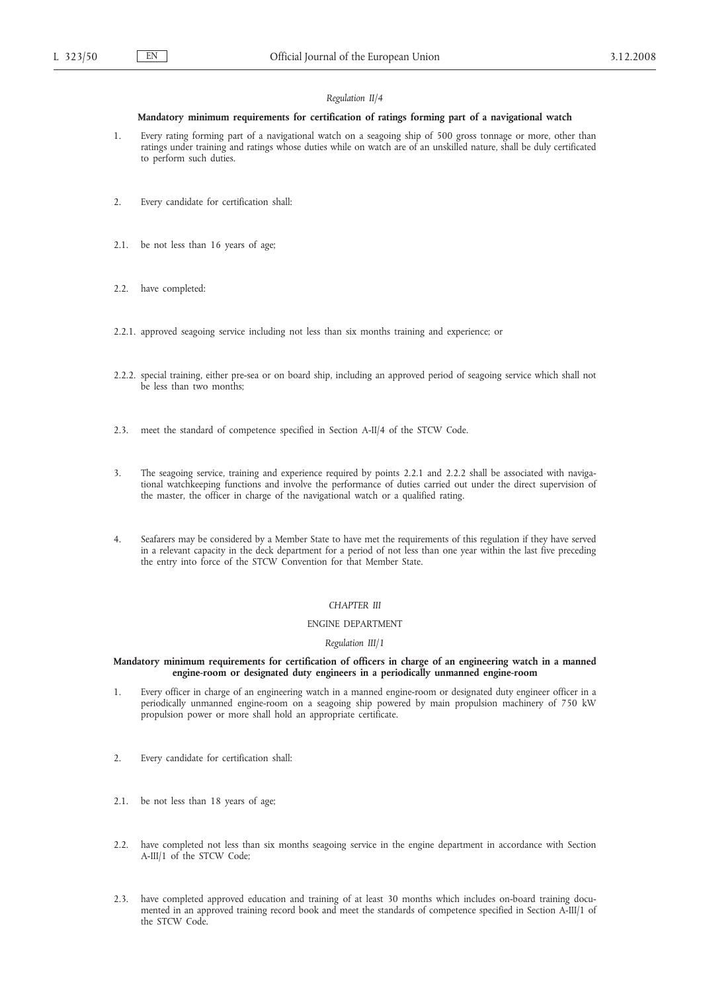## *Regulation II/4*

## **Mandatory minimum requirements for certification of ratings forming part of a navigational watch**

- 1. Every rating forming part of a navigational watch on a seagoing ship of 500 gross tonnage or more, other than ratings under training and ratings whose duties while on watch are of an unskilled nature, shall be duly certificated to perform such duties.
- 2. Every candidate for certification shall:
- 2.1. be not less than 16 years of age;
- 2.2. have completed:
- 2.2.1. approved seagoing service including not less than six months training and experience; or
- 2.2.2. special training, either pre-sea or on board ship, including an approved period of seagoing service which shall not be less than two months;
- 2.3. meet the standard of competence specified in Section A-II/4 of the STCW Code.
- 3. The seagoing service, training and experience required by points 2.2.1 and 2.2.2 shall be associated with navigational watchkeeping functions and involve the performance of duties carried out under the direct supervision of the master, the officer in charge of the navigational watch or a qualified rating.
- 4. Seafarers may be considered by a Member State to have met the requirements of this regulation if they have served in a relevant capacity in the deck department for a period of not less than one year within the last five preceding the entry into force of the STCW Convention for that Member State.

### *CHAPTER III*

## ENGINE DEPARTMENT

#### *Regulation III/1*

## **Mandatory minimum requirements for certification of officers in charge of an engineering watch in a manned engine-room or designated duty engineers in a periodically unmanned engine-room**

- 1. Every officer in charge of an engineering watch in a manned engine-room or designated duty engineer officer in a periodically unmanned engine-room on a seagoing ship powered by main propulsion machinery of 750 kW propulsion power or more shall hold an appropriate certificate.
- 2. Every candidate for certification shall:
- 2.1. be not less than 18 years of age;
- 2.2. have completed not less than six months seagoing service in the engine department in accordance with Section A-III/1 of the STCW Code;
- 2.3. have completed approved education and training of at least 30 months which includes on-board training documented in an approved training record book and meet the standards of competence specified in Section A-III/1 of the STCW Code.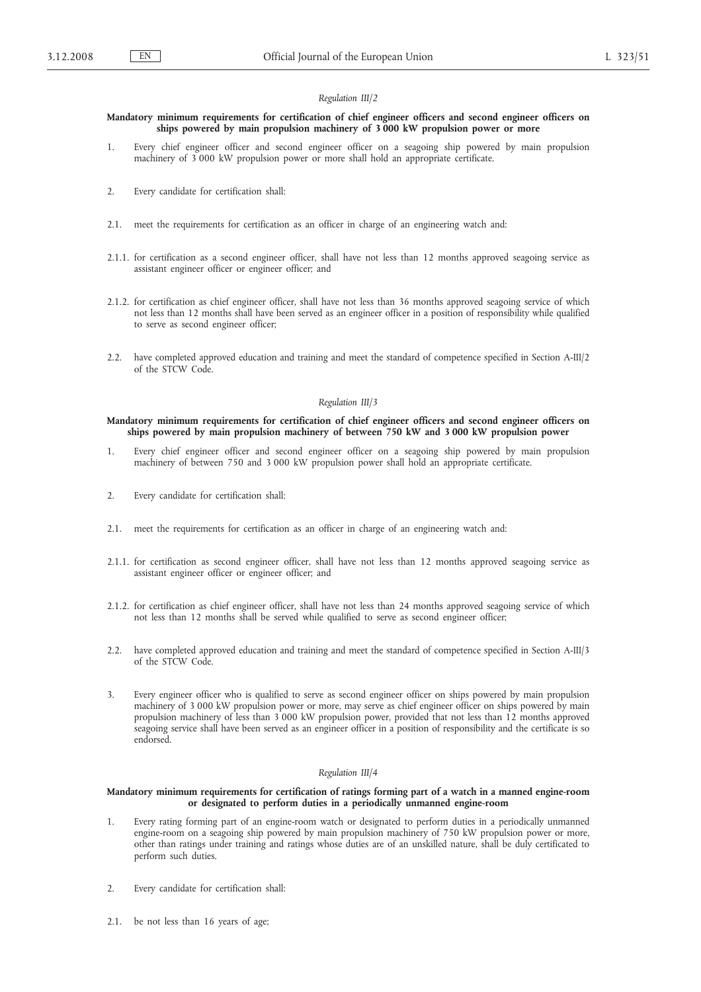## *Regulation III/2*

### **Mandatory minimum requirements for certification of chief engineer officers and second engineer officers on ships powered by main propulsion machinery of 3 000 kW propulsion power or more**

- 1. Every chief engineer officer and second engineer officer on a seagoing ship powered by main propulsion machinery of 3 000 kW propulsion power or more shall hold an appropriate certificate.
- 2. Every candidate for certification shall:
- 2.1. meet the requirements for certification as an officer in charge of an engineering watch and:
- 2.1.1. for certification as a second engineer officer, shall have not less than 12 months approved seagoing service as assistant engineer officer or engineer officer; and
- 2.1.2. for certification as chief engineer officer, shall have not less than 36 months approved seagoing service of which not less than 12 months shall have been served as an engineer officer in a position of responsibility while qualified to serve as second engineer officer;
- 2.2. have completed approved education and training and meet the standard of competence specified in Section A-III/2 of the STCW Code.

### *Regulation III/3*

### **Mandatory minimum requirements for certification of chief engineer officers and second engineer officers on ships powered by main propulsion machinery of between 750 kW and 3 000 kW propulsion power**

- 1. Every chief engineer officer and second engineer officer on a seagoing ship powered by main propulsion machinery of between 750 and 3 000 kW propulsion power shall hold an appropriate certificate.
- 2. Every candidate for certification shall:
- 2.1. meet the requirements for certification as an officer in charge of an engineering watch and:
- 2.1.1. for certification as second engineer officer, shall have not less than 12 months approved seagoing service as assistant engineer officer or engineer officer; and
- 2.1.2. for certification as chief engineer officer, shall have not less than 24 months approved seagoing service of which not less than 12 months shall be served while qualified to serve as second engineer officer;
- 2.2. have completed approved education and training and meet the standard of competence specified in Section A-III/3 of the STCW Code.
- 3. Every engineer officer who is qualified to serve as second engineer officer on ships powered by main propulsion machinery of 3 000 kW propulsion power or more, may serve as chief engineer officer on ships powered by main propulsion machinery of less than 3 000 kW propulsion power, provided that not less than 12 months approved seagoing service shall have been served as an engineer officer in a position of responsibility and the certificate is so endorsed.

#### *Regulation III/4*

#### **Mandatory minimum requirements for certification of ratings forming part of a watch in a manned engine-room or designated to perform duties in a periodically unmanned engine-room**

- 1. Every rating forming part of an engine-room watch or designated to perform duties in a periodically unmanned engine-room on a seagoing ship powered by main propulsion machinery of 750 kW propulsion power or more, other than ratings under training and ratings whose duties are of an unskilled nature, shall be duly certificated to perform such duties.
- 2. Every candidate for certification shall:
- 2.1. be not less than 16 years of age;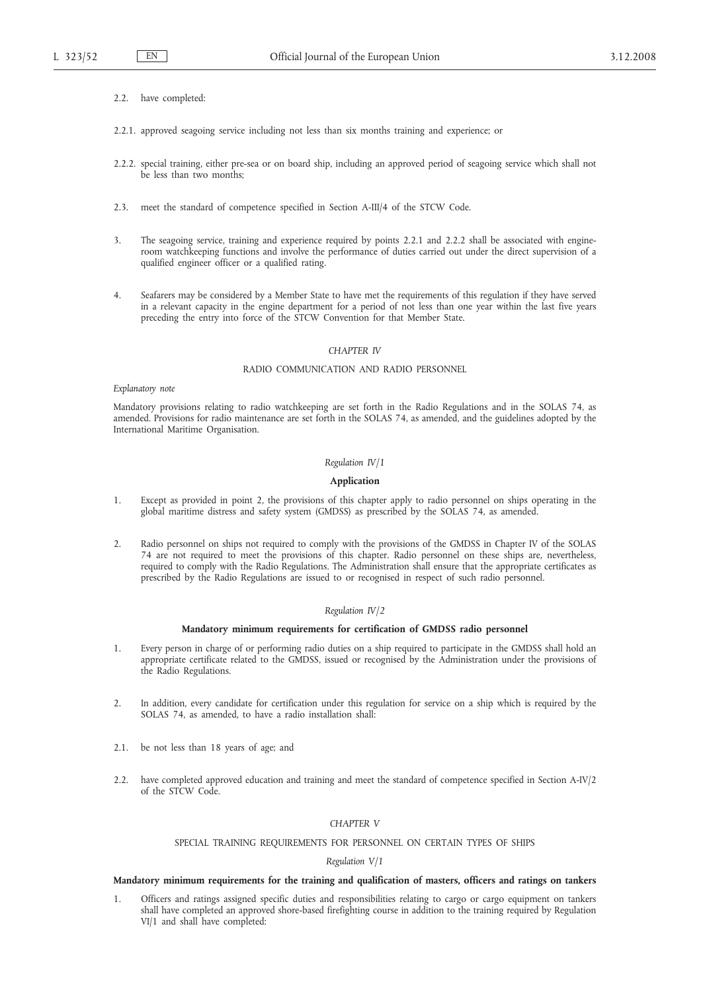- 2.2. have completed:
- 2.2.1. approved seagoing service including not less than six months training and experience; or
- 2.2.2. special training, either pre-sea or on board ship, including an approved period of seagoing service which shall not be less than two months;
- 2.3. meet the standard of competence specified in Section A-III/4 of the STCW Code.
- 3. The seagoing service, training and experience required by points 2.2.1 and 2.2.2 shall be associated with engineroom watchkeeping functions and involve the performance of duties carried out under the direct supervision of a qualified engineer officer or a qualified rating.
- 4. Seafarers may be considered by a Member State to have met the requirements of this regulation if they have served in a relevant capacity in the engine department for a period of not less than one year within the last five years preceding the entry into force of the STCW Convention for that Member State.

#### *CHAPTER IV*

### RADIO COMMUNICATION AND RADIO PERSONNEL

#### *Explanatory note*

Mandatory provisions relating to radio watchkeeping are set forth in the Radio Regulations and in the SOLAS 74, as amended. Provisions for radio maintenance are set forth in the SOLAS 74, as amended, and the guidelines adopted by the International Maritime Organisation.

### *Regulation IV/1*

### **Application**

- 1. Except as provided in point 2, the provisions of this chapter apply to radio personnel on ships operating in the global maritime distress and safety system (GMDSS) as prescribed by the SOLAS 74, as amended.
- 2. Radio personnel on ships not required to comply with the provisions of the GMDSS in Chapter IV of the SOLAS 74 are not required to meet the provisions of this chapter. Radio personnel on these ships are, nevertheless, required to comply with the Radio Regulations. The Administration shall ensure that the appropriate certificates as prescribed by the Radio Regulations are issued to or recognised in respect of such radio personnel.

### *Regulation IV/2*

## **Mandatory minimum requirements for certification of GMDSS radio personnel**

- 1. Every person in charge of or performing radio duties on a ship required to participate in the GMDSS shall hold an appropriate certificate related to the GMDSS, issued or recognised by the Administration under the provisions of the Radio Regulations.
- 2. In addition, every candidate for certification under this regulation for service on a ship which is required by the SOLAS 74, as amended, to have a radio installation shall:
- 2.1. be not less than 18 years of age; and
- 2.2. have completed approved education and training and meet the standard of competence specified in Section A-IV/2 of the STCW Code.

#### *CHAPTER V*

### SPECIAL TRAINING REQUIREMENTS FOR PERSONNEL ON CERTAIN TYPES OF SHIPS

#### *Regulation V/1*

### **Mandatory minimum requirements for the training and qualification of masters, officers and ratings on tankers**

1. Officers and ratings assigned specific duties and responsibilities relating to cargo or cargo equipment on tankers shall have completed an approved shore-based firefighting course in addition to the training required by Regulation VI/1 and shall have completed: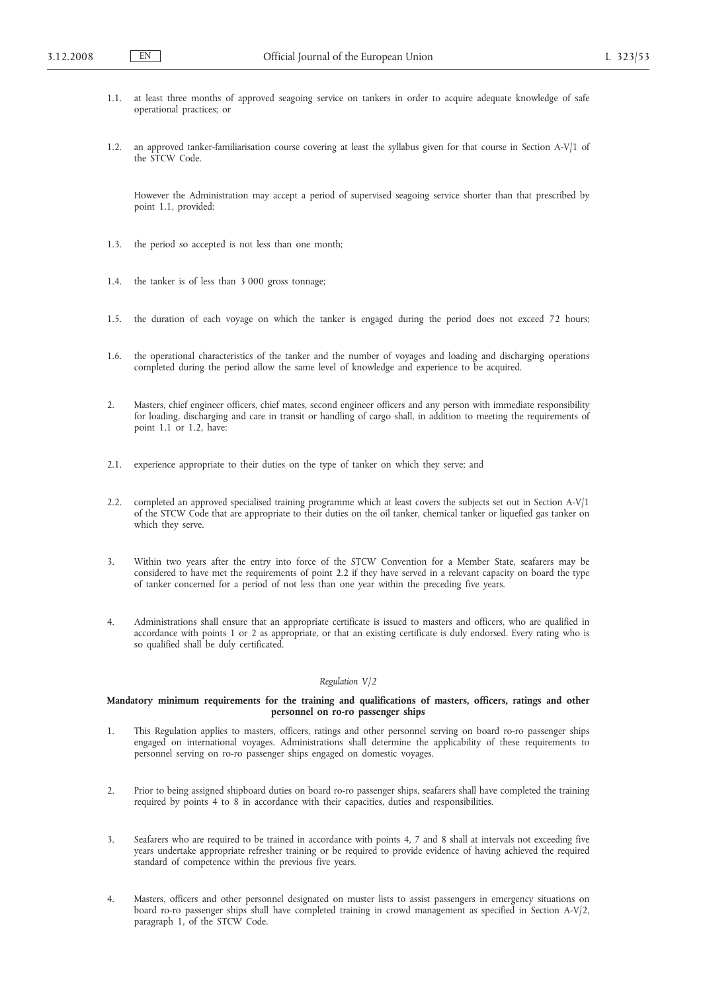- 1.1. at least three months of approved seagoing service on tankers in order to acquire adequate knowledge of safe operational practices; or
- 1.2. an approved tanker-familiarisation course covering at least the syllabus given for that course in Section A-V/1 of the STCW Code.

However the Administration may accept a period of supervised seagoing service shorter than that prescribed by point 1.1, provided:

- 1.3. the period so accepted is not less than one month;
- 1.4. the tanker is of less than 3 000 gross tonnage;
- 1.5. the duration of each voyage on which the tanker is engaged during the period does not exceed 72 hours;
- 1.6. the operational characteristics of the tanker and the number of voyages and loading and discharging operations completed during the period allow the same level of knowledge and experience to be acquired.
- 2. Masters, chief engineer officers, chief mates, second engineer officers and any person with immediate responsibility for loading, discharging and care in transit or handling of cargo shall, in addition to meeting the requirements of point 1.1 or 1.2, have:
- 2.1. experience appropriate to their duties on the type of tanker on which they serve; and
- 2.2. completed an approved specialised training programme which at least covers the subjects set out in Section A-V/1 of the STCW Code that are appropriate to their duties on the oil tanker, chemical tanker or liquefied gas tanker on which they serve.
- 3. Within two years after the entry into force of the STCW Convention for a Member State, seafarers may be considered to have met the requirements of point 2.2 if they have served in a relevant capacity on board the type of tanker concerned for a period of not less than one year within the preceding five years.
- 4. Administrations shall ensure that an appropriate certificate is issued to masters and officers, who are qualified in accordance with points 1 or 2 as appropriate, or that an existing certificate is duly endorsed. Every rating who is so qualified shall be duly certificated.

# *Regulation V/2*

## **Mandatory minimum requirements for the training and qualifications of masters, officers, ratings and other personnel on ro-ro passenger ships**

- 1. This Regulation applies to masters, officers, ratings and other personnel serving on board ro-ro passenger ships engaged on international voyages. Administrations shall determine the applicability of these requirements to personnel serving on ro-ro passenger ships engaged on domestic voyages.
- 2. Prior to being assigned shipboard duties on board ro-ro passenger ships, seafarers shall have completed the training required by points 4 to 8 in accordance with their capacities, duties and responsibilities.
- 3. Seafarers who are required to be trained in accordance with points 4, 7 and 8 shall at intervals not exceeding five years undertake appropriate refresher training or be required to provide evidence of having achieved the required standard of competence within the previous five years.
- 4. Masters, officers and other personnel designated on muster lists to assist passengers in emergency situations on board ro-ro passenger ships shall have completed training in crowd management as specified in Section A-V/2, paragraph 1, of the STCW Code.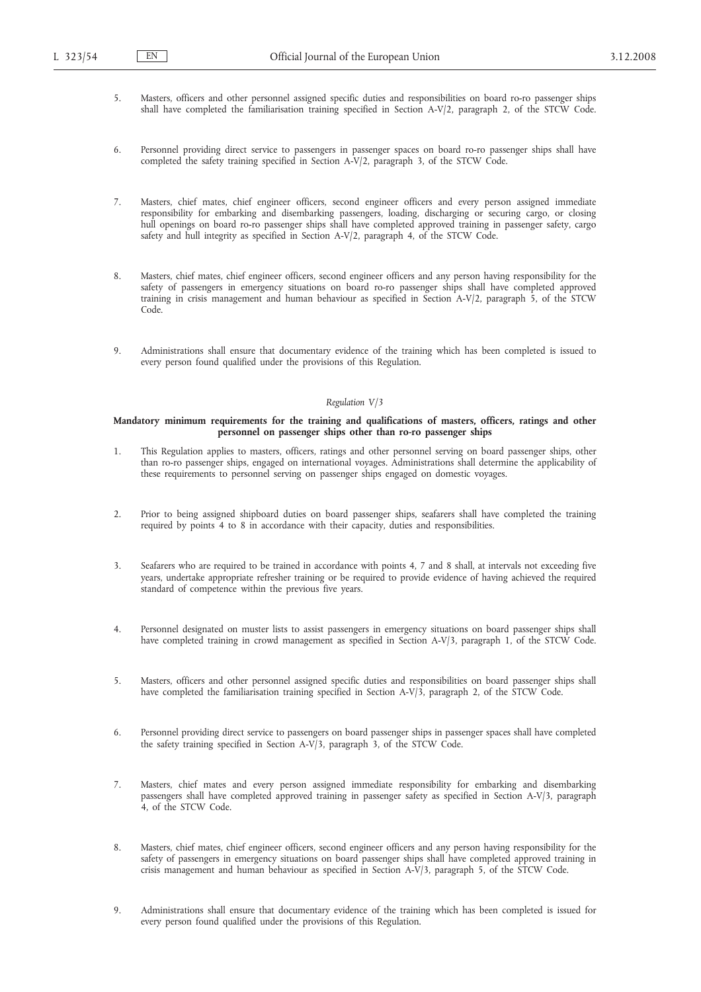- 5. Masters, officers and other personnel assigned specific duties and responsibilities on board ro-ro passenger ships shall have completed the familiarisation training specified in Section A-V/2, paragraph 2, of the STCW Code.
- 6. Personnel providing direct service to passengers in passenger spaces on board ro-ro passenger ships shall have completed the safety training specified in Section A-V/2, paragraph 3, of the STCW Code.
- 7. Masters, chief mates, chief engineer officers, second engineer officers and every person assigned immediate responsibility for embarking and disembarking passengers, loading, discharging or securing cargo, or closing hull openings on board ro-ro passenger ships shall have completed approved training in passenger safety, cargo safety and hull integrity as specified in Section A-V/2, paragraph 4, of the STCW Code.
- 8. Masters, chief mates, chief engineer officers, second engineer officers and any person having responsibility for the safety of passengers in emergency situations on board ro-ro passenger ships shall have completed approved training in crisis management and human behaviour as specified in Section A-V/2, paragraph 5, of the STCW Code.
- 9. Administrations shall ensure that documentary evidence of the training which has been completed is issued to every person found qualified under the provisions of this Regulation.

### *Regulation V/3*

### **Mandatory minimum requirements for the training and qualifications of masters, officers, ratings and other personnel on passenger ships other than ro-ro passenger ships**

- 1. This Regulation applies to masters, officers, ratings and other personnel serving on board passenger ships, other than ro-ro passenger ships, engaged on international voyages. Administrations shall determine the applicability of these requirements to personnel serving on passenger ships engaged on domestic voyages.
- 2. Prior to being assigned shipboard duties on board passenger ships, seafarers shall have completed the training required by points 4 to 8 in accordance with their capacity, duties and responsibilities.
- 3. Seafarers who are required to be trained in accordance with points 4, 7 and 8 shall, at intervals not exceeding five years, undertake appropriate refresher training or be required to provide evidence of having achieved the required standard of competence within the previous five years.
- 4. Personnel designated on muster lists to assist passengers in emergency situations on board passenger ships shall have completed training in crowd management as specified in Section A-V/3, paragraph 1, of the STCW Code.
- 5. Masters, officers and other personnel assigned specific duties and responsibilities on board passenger ships shall have completed the familiarisation training specified in Section A-V/3, paragraph 2, of the STCW Code.
- 6. Personnel providing direct service to passengers on board passenger ships in passenger spaces shall have completed the safety training specified in Section A-V/3, paragraph 3, of the STCW Code.
- 7. Masters, chief mates and every person assigned immediate responsibility for embarking and disembarking passengers shall have completed approved training in passenger safety as specified in Section A-V/3, paragraph 4, of the STCW Code.
- 8. Masters, chief mates, chief engineer officers, second engineer officers and any person having responsibility for the safety of passengers in emergency situations on board passenger ships shall have completed approved training in crisis management and human behaviour as specified in Section A-V/3, paragraph 5, of the STCW Code.
- 9. Administrations shall ensure that documentary evidence of the training which has been completed is issued for every person found qualified under the provisions of this Regulation.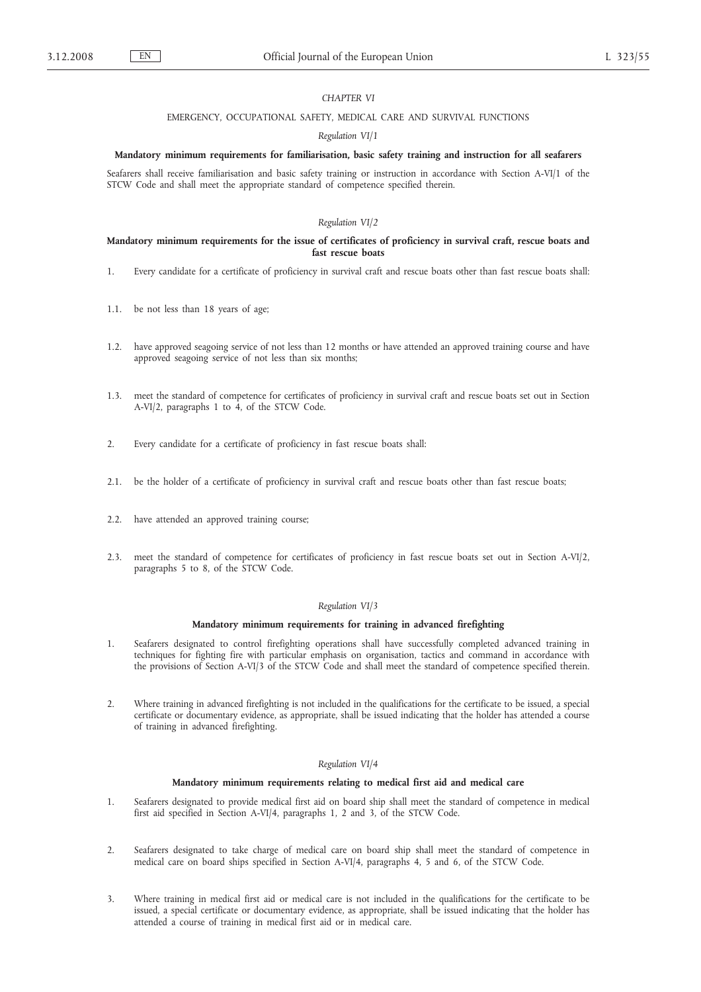## *CHAPTER VI*

## EMERGENCY, OCCUPATIONAL SAFETY, MEDICAL CARE AND SURVIVAL FUNCTIONS

## *Regulation VI/1*

#### **Mandatory minimum requirements for familiarisation, basic safety training and instruction for all seafarers**

Seafarers shall receive familiarisation and basic safety training or instruction in accordance with Section A-VI/1 of the STCW Code and shall meet the appropriate standard of competence specified therein.

### *Regulation VI/2*

### **Mandatory minimum requirements for the issue of certificates of proficiency in survival craft, rescue boats and fast rescue boats**

- 1. Every candidate for a certificate of proficiency in survival craft and rescue boats other than fast rescue boats shall:
- 1.1. be not less than 18 years of age;
- 1.2. have approved seagoing service of not less than 12 months or have attended an approved training course and have approved seagoing service of not less than six months;
- 1.3. meet the standard of competence for certificates of proficiency in survival craft and rescue boats set out in Section A-VI/2, paragraphs 1 to 4, of the STCW Code.
- 2. Every candidate for a certificate of proficiency in fast rescue boats shall:
- 2.1. be the holder of a certificate of proficiency in survival craft and rescue boats other than fast rescue boats;
- 2.2. have attended an approved training course;
- 2.3. meet the standard of competence for certificates of proficiency in fast rescue boats set out in Section A-VI/2, paragraphs 5 to 8, of the STCW Code.

#### *Regulation VI/3*

## **Mandatory minimum requirements for training in advanced firefighting**

- 1. Seafarers designated to control firefighting operations shall have successfully completed advanced training in techniques for fighting fire with particular emphasis on organisation, tactics and command in accordance with the provisions of Section A-VI/3 of the STCW Code and shall meet the standard of competence specified therein.
- 2. Where training in advanced firefighting is not included in the qualifications for the certificate to be issued, a special certificate or documentary evidence, as appropriate, shall be issued indicating that the holder has attended a course of training in advanced firefighting.

#### *Regulation VI/4*

### **Mandatory minimum requirements relating to medical first aid and medical care**

- 1. Seafarers designated to provide medical first aid on board ship shall meet the standard of competence in medical first aid specified in Section A-VI/4, paragraphs 1, 2 and 3, of the STCW Code.
- 2. Seafarers designated to take charge of medical care on board ship shall meet the standard of competence in medical care on board ships specified in Section A-VI/4, paragraphs 4, 5 and 6, of the STCW Code.
- 3. Where training in medical first aid or medical care is not included in the qualifications for the certificate to be issued, a special certificate or documentary evidence, as appropriate, shall be issued indicating that the holder has attended a course of training in medical first aid or in medical care.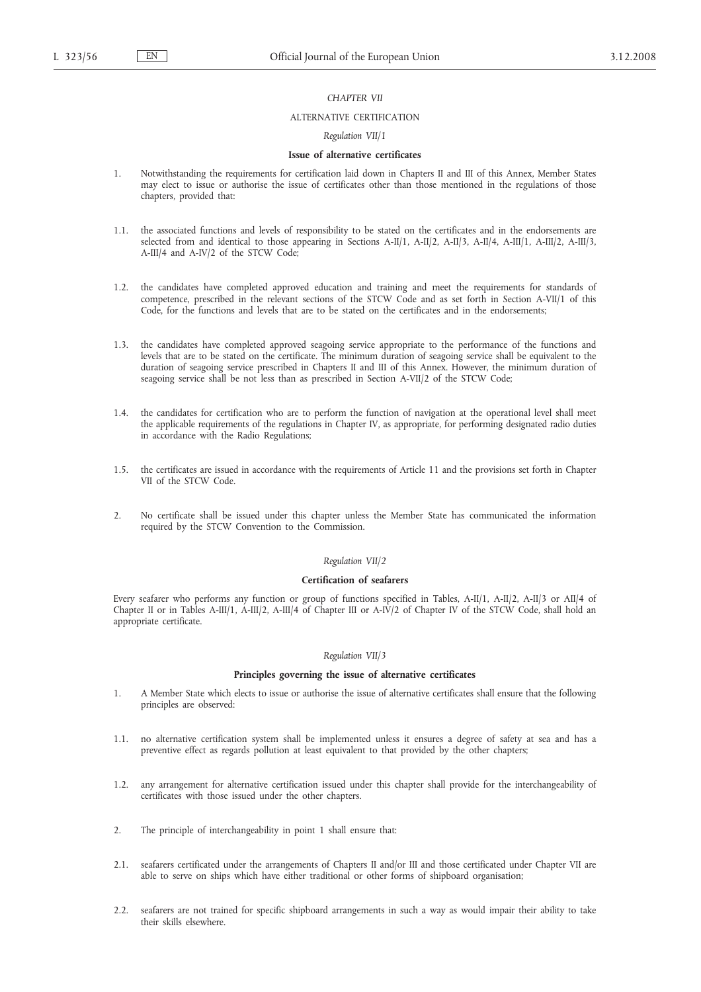# *CHAPTER VII*

### ALTERNATIVE CERTIFICATION

## *Regulation VII/1*

### **Issue of alternative certificates**

- 1. Notwithstanding the requirements for certification laid down in Chapters II and III of this Annex, Member States may elect to issue or authorise the issue of certificates other than those mentioned in the regulations of those chapters, provided that:
- 1.1. the associated functions and levels of responsibility to be stated on the certificates and in the endorsements are selected from and identical to those appearing in Sections A-II/1, A-II/2, A-II/3, A-II/4, A-III/1, A-III/2, A-III/3, A-III/4 and A-IV/2 of the STCW Code;
- 1.2. the candidates have completed approved education and training and meet the requirements for standards of competence, prescribed in the relevant sections of the STCW Code and as set forth in Section A-VII/1 of this Code, for the functions and levels that are to be stated on the certificates and in the endorsements;
- 1.3. the candidates have completed approved seagoing service appropriate to the performance of the functions and levels that are to be stated on the certificate. The minimum duration of seagoing service shall be equivalent to the duration of seagoing service prescribed in Chapters II and III of this Annex. However, the minimum duration of seagoing service shall be not less than as prescribed in Section A-VII/2 of the STCW Code;
- 1.4. the candidates for certification who are to perform the function of navigation at the operational level shall meet the applicable requirements of the regulations in Chapter IV, as appropriate, for performing designated radio duties in accordance with the Radio Regulations;
- 1.5. the certificates are issued in accordance with the requirements of Article 11 and the provisions set forth in Chapter VII of the STCW Code.
- 2. No certificate shall be issued under this chapter unless the Member State has communicated the information required by the STCW Convention to the Commission.

## *Regulation VII/2*

### **Certification of seafarers**

Every seafarer who performs any function or group of functions specified in Tables, A-II/1, A-II/2, A-II/3 or AII/4 of Chapter II or in Tables A-III/1, A-III/2, A-III/4 of Chapter III or A-IV/2 of Chapter IV of the STCW Code, shall hold an appropriate certificate.

## *Regulation VII/3*

### **Principles governing the issue of alternative certificates**

- 1. A Member State which elects to issue or authorise the issue of alternative certificates shall ensure that the following principles are observed:
- 1.1. no alternative certification system shall be implemented unless it ensures a degree of safety at sea and has a preventive effect as regards pollution at least equivalent to that provided by the other chapters;
- 1.2. any arrangement for alternative certification issued under this chapter shall provide for the interchangeability of certificates with those issued under the other chapters.
- 2. The principle of interchangeability in point 1 shall ensure that:
- 2.1. seafarers certificated under the arrangements of Chapters II and/or III and those certificated under Chapter VII are able to serve on ships which have either traditional or other forms of shipboard organisation;
- 2.2. seafarers are not trained for specific shipboard arrangements in such a way as would impair their ability to take their skills elsewhere.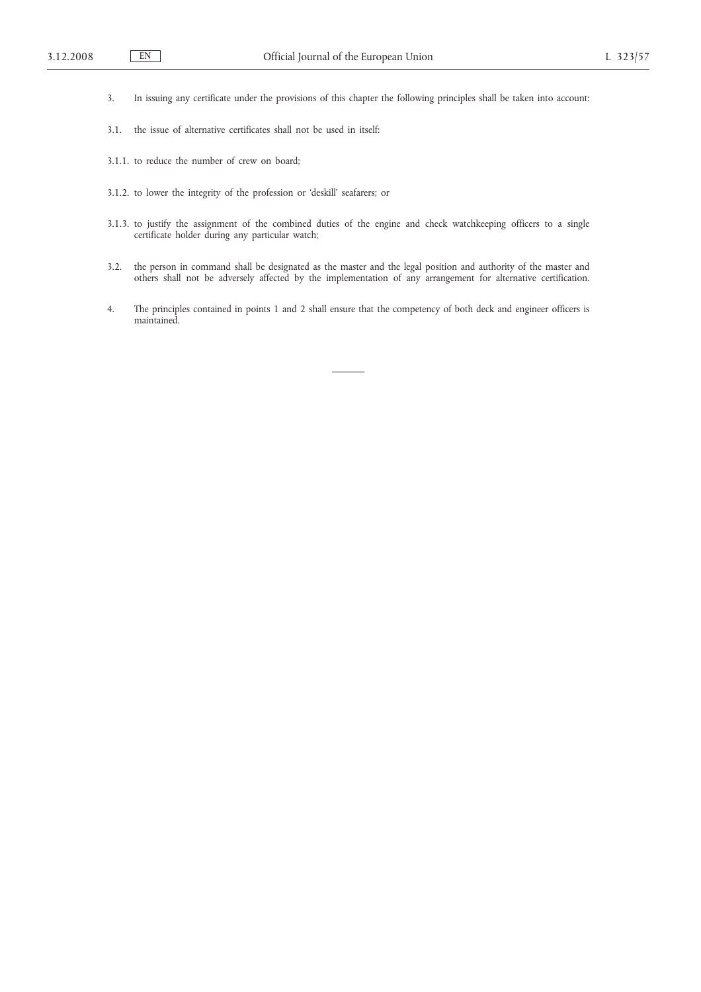- 3. In issuing any certificate under the provisions of this chapter the following principles shall be taken into account:
- 3.1. the issue of alternative certificates shall not be used in itself:
- 3.1.1. to reduce the number of crew on board;
- 3.1.2. to lower the integrity of the profession or 'deskill' seafarers; or
- 3.1.3. to justify the assignment of the combined duties of the engine and check watchkeeping officers to a single certificate holder during any particular watch;
- 3.2. the person in command shall be designated as the master and the legal position and authority of the master and others shall not be adversely affected by the implementation of any arrangement for alternative certification.
- 4. The principles contained in points 1 and 2 shall ensure that the competency of both deck and engineer officers is maintained.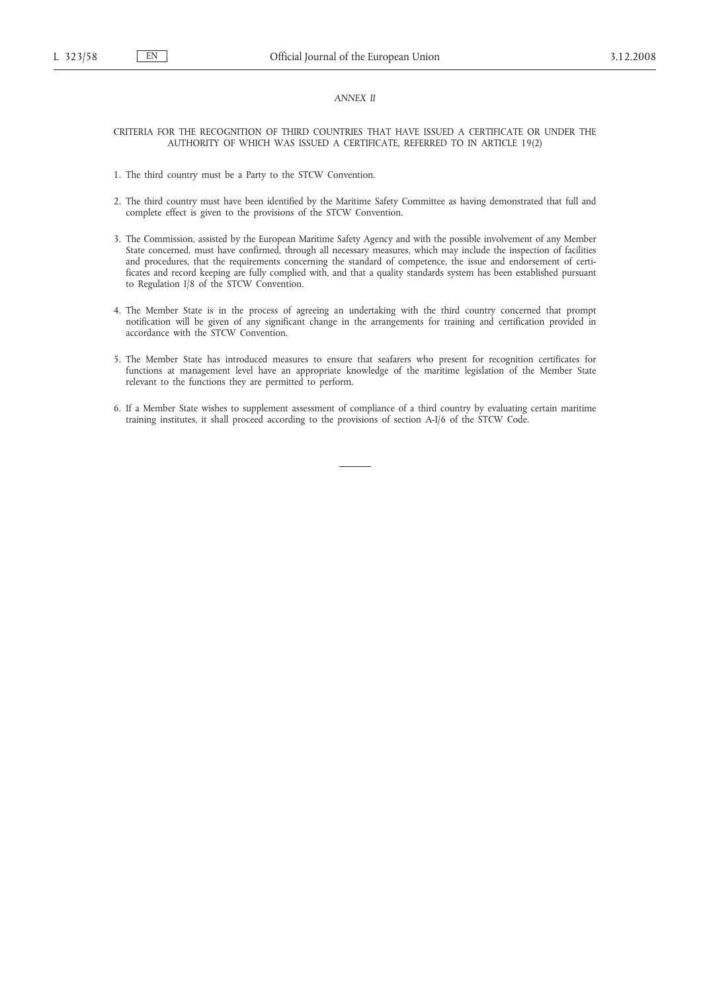## *ANNEX II*

### CRITERIA FOR THE RECOGNITION OF THIRD COUNTRIES THAT HAVE ISSUED A CERTIFICATE OR UNDER THE AUTHORITY OF WHICH WAS ISSUED A CERTIFICATE, REFERRED TO IN ARTICLE 19(2)

- 1. The third country must be a Party to the STCW Convention.
- 2. The third country must have been identified by the Maritime Safety Committee as having demonstrated that full and complete effect is given to the provisions of the STCW Convention.
- 3. The Commission, assisted by the European Maritime Safety Agency and with the possible involvement of any Member State concerned, must have confirmed, through all necessary measures, which may include the inspection of facilities and procedures, that the requirements concerning the standard of competence, the issue and endorsement of certificates and record keeping are fully complied with, and that a quality standards system has been established pursuant to Regulation I/8 of the STCW Convention.
- 4. The Member State is in the process of agreeing an undertaking with the third country concerned that prompt notification will be given of any significant change in the arrangements for training and certification provided in accordance with the STCW Convention.
- 5. The Member State has introduced measures to ensure that seafarers who present for recognition certificates for functions at management level have an appropriate knowledge of the maritime legislation of the Member State relevant to the functions they are permitted to perform.
- 6. If a Member State wishes to supplement assessment of compliance of a third country by evaluating certain maritime training institutes, it shall proceed according to the provisions of section A-I/6 of the STCW Code.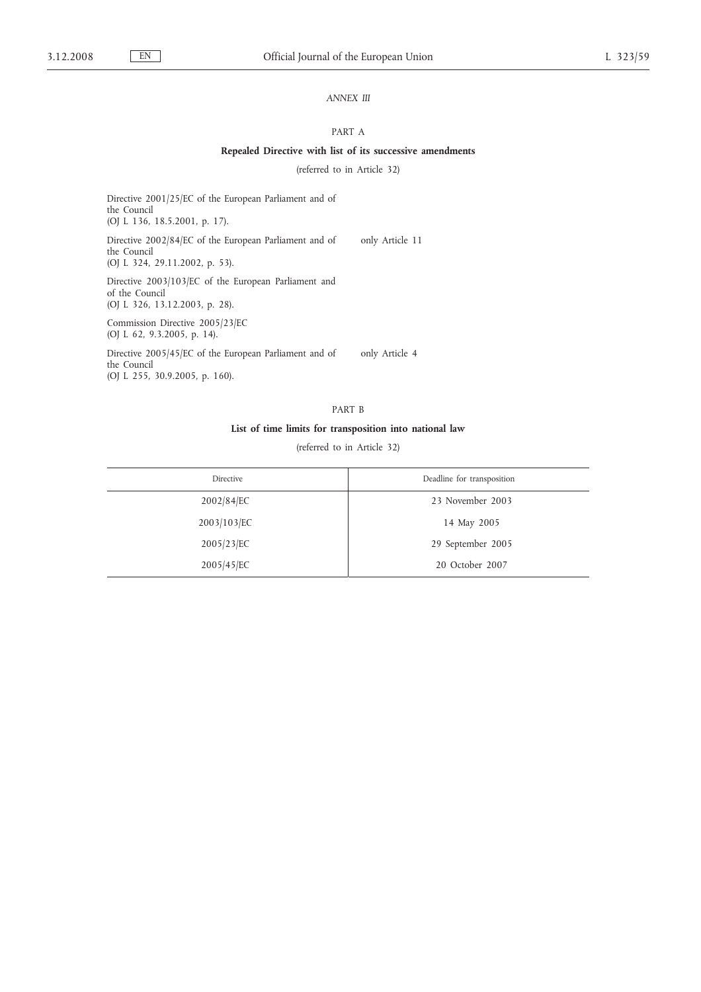# *ANNEX III*

## PART A

## **Repealed Directive with list of its successive amendments**

(referred to in Article 32)

Directive 2001/25/EC of the European Parliament and of the Council (OJ L 136, 18.5.2001, p. 17).

Directive 2002/84/EC of the European Parliament and of the Council only Article 11

(OJ L 324, 29.11.2002, p. 53).

Directive 2003/103/EC of the European Parliament and of the Council (OJ L 326, 13.12.2003, p. 28).

Commission Directive 2005/23/EC (OJ L 62, 9.3.2005, p. 14).

Directive 2005/45/EC of the European Parliament and of the Council (OJ L 255, 30.9.2005, p. 160). only Article 4

## PART B

## **List of time limits for transposition into national law**

(referred to in Article 32)

| Directive   | Deadline for transposition |
|-------------|----------------------------|
| 2002/84/EC  | 23 November 2003           |
| 2003/103/EC | 14 May 2005                |
| 2005/23/EC  | 29 September 2005          |
| 2005/45/EC  | 20 October 2007            |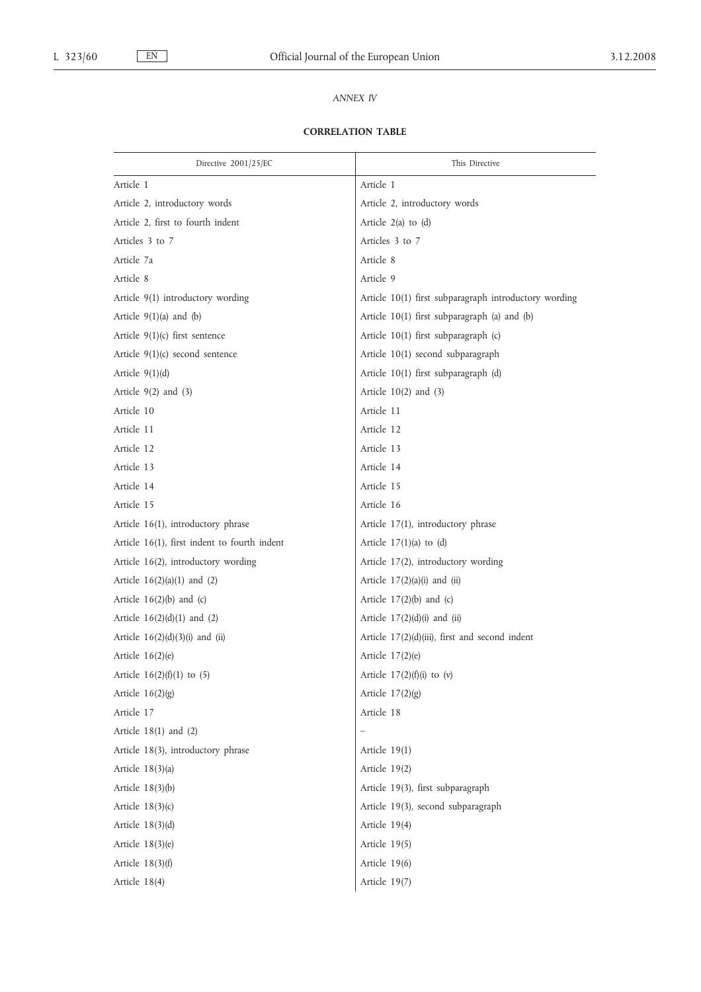# *ANNEX IV*

# **CORRELATION TABLE**

| Directive 2001/25/EC                            | This Directive                                        |
|-------------------------------------------------|-------------------------------------------------------|
| Article 1                                       | Article 1                                             |
| Article 2, introductory words                   | Article 2, introductory words                         |
| Article 2, first to fourth indent               | Article 2(a) to (d)                                   |
| Articles 3 to 7                                 | Articles 3 to 7                                       |
| Article 7a                                      | Article 8                                             |
| Article 8                                       | Article 9                                             |
| Article 9(1) introductory wording               | Article 10(1) first subparagraph introductory wording |
| Article $9(1)(a)$ and $(b)$                     | Article 10(1) first subparagraph (a) and (b)          |
| Article $9(1)(c)$ first sentence                | Article 10(1) first subparagraph (c)                  |
| Article $9(1)(c)$ second sentence               | Article 10(1) second subparagraph                     |
| Article $9(1)(d)$                               | Article 10(1) first subparagraph (d)                  |
| Article $9(2)$ and $(3)$                        | Article $10(2)$ and $(3)$                             |
| Article 10                                      | Article 11                                            |
| Article 11                                      | Article 12                                            |
| Article 12                                      | Article 13                                            |
| Article 13                                      | Article 14                                            |
| Article 14                                      | Article 15                                            |
| Article 15                                      | Article 16                                            |
| Article 16(1), introductory phrase              | Article 17(1), introductory phrase                    |
| Article $16(1)$ , first indent to fourth indent | Article $17(1)(a)$ to $(d)$                           |
| Article 16(2), introductory wording             | Article 17(2), introductory wording                   |
| Article $16(2)(a)(1)$ and (2)                   | Article $17(2)(a)(i)$ and (ii)                        |
| Article $16(2)(b)$ and (c)                      | Article $17(2)(b)$ and (c)                            |
| Article $16(2)(d)(1)$ and (2)                   | Article $17(2)(d)(i)$ and (ii)                        |
| Article $16(2)(d)(3)(i)$ and (ii)               | Article 17(2)(d)(iii), first and second indent        |
| Article $16(2)(e)$                              | Article $17(2)(e)$                                    |
| Article $16(2)(f)(1)$ to (5)                    | Article $17(2)(f)(i)$ to (v)                          |
| Article $16(2)(g)$                              | Article $17(2)(g)$                                    |
| Article 17                                      | Article 18                                            |
| Article $18(1)$ and $(2)$                       |                                                       |
| Article 18(3), introductory phrase              | Article $19(1)$                                       |
| Article $18(3)(a)$                              | Article $19(2)$                                       |
| Article $18(3)(b)$                              | Article 19(3), first subparagraph                     |
| Article $18(3)(c)$                              | Article 19(3), second subparagraph                    |
| Article 18(3)(d)                                | Article 19(4)                                         |
| Article $18(3)(e)$                              | Article 19(5)                                         |
| Article $18(3)(f)$                              | Article 19(6)                                         |
| Article 18(4)                                   | Article 19(7)                                         |